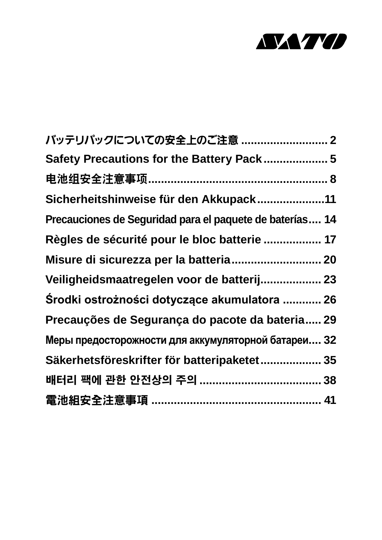

| バッテリパックについての安全上のご注意  2                                   |  |
|----------------------------------------------------------|--|
| Safety Precautions for the Battery Pack 5                |  |
|                                                          |  |
| Sicherheitshinweise für den Akkupack11                   |  |
| Precauciones de Seguridad para el paquete de baterías 14 |  |
| Règles de sécurité pour le bloc batterie  17             |  |
| Misure di sicurezza per la batteria 20                   |  |
| Veiligheidsmaatregelen voor de batterij 23               |  |
| Środki ostrożności dotyczące akumulatora  26             |  |
| Precauções de Segurança do pacote da bateria 29          |  |
| Меры предосторожности для аккумуляторной батареи 32      |  |
| Säkerhetsföreskrifter för batteripaketet 35              |  |
|                                                          |  |
|                                                          |  |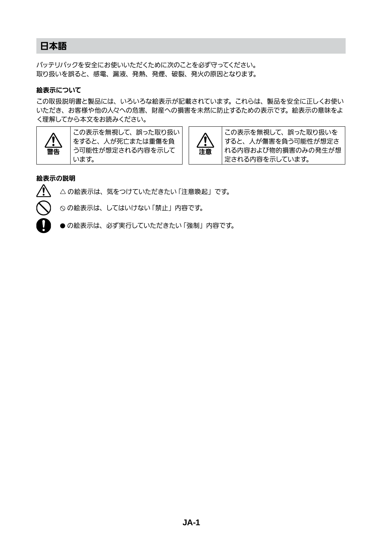### 日本語

バッテリパックを安全にお使いいただくために次のことを必ず守ってください。 取り扱いを誤ると、感電、漏液、発熱、発煙、破裂、発火の原因となります。

#### 絵表示について

この取扱説明書と製品には、いろいろな絵表示が記載されています。これらは、製品を安全に正しくお使い いただき、お客様や他の人々への危害、財産への損害を未然に防止するための表示です。絵表示の意味をよ く理解してから本文をお読みください。



この表示を無視して、誤った取り扱い をすると、人が死亡または重傷を負 う可能性が想定される内容を示して います。



この表示を無視して、誤った取り扱いを すると、人が傷害を負う可能性が想定さ れる内容および物的損害のみの発生が想 定される内容を示しています。

#### 絵表示の説明



△の絵表示は、気をつけていただきたい「注意喚起」です。

の絵表示は、してはいけない「禁止」内容です。

● の絵表示は、必ず実行していただきたい「強制」内容です。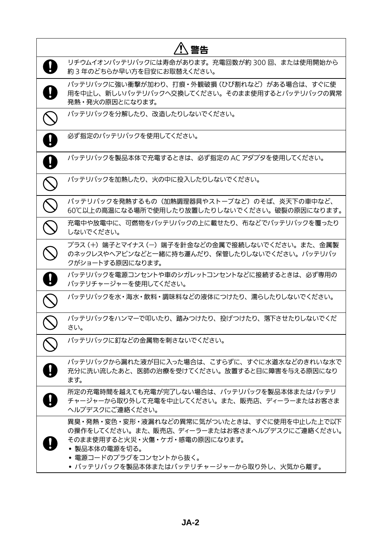| 警告                                                                                                                                                                                                                     |
|------------------------------------------------------------------------------------------------------------------------------------------------------------------------------------------------------------------------|
| リチウムイオンバッテリパックには寿命があります。充電回数が約 300 回、または使用開始から<br>約3年のどちらか早い方を目安にお取替えください。                                                                                                                                             |
| バッテリパックに強い衝撃が加わり、打痕・外観破損(ひび割れなど)がある場合は、すぐに使<br>用を中止し、新しいバッテリパックへ交換してください。そのまま使用するとバッテリパックの異常<br>発熱・発火の原因とになります。                                                                                                        |
| バッテリパックを分解したり、改造したりしないでください。                                                                                                                                                                                           |
| 必ず指定のバッテリパックを使用してください。                                                                                                                                                                                                 |
| バッテリパックを製品本体で充電するときは、 必ず指定の AC アダプタを使用してください。                                                                                                                                                                          |
| バッテリパックを加熱したり、火の中に投入したりしないでください。                                                                                                                                                                                       |
| バッテリパックを発熱するもの(加熱調理器具やストーブなど)のそば、炎天下の車中など、<br>60℃以上の高温になる場所で使用したり放置したりしないでください。破裂の原因になります。                                                                                                                             |
| 充電中や放電中に、可燃物をバッテリパックの上に載せたり、布などでバッテリパックを覆ったり<br>しないでください。                                                                                                                                                              |
| プラス(+)端子とマイナス(ー)端子を針金などの金属で接続しないでください。また、金属製<br>のネックレスやヘアピンなどと一緒に持ち運んだり、保管したりしないでください。 バッテリパッ<br>クがショートする原因になります。                                                                                                      |
| バッテリパックを電源コンセントや車のシガレットコンセントなどに接続するときは、必ず専用の<br>バッテリチャージャーを使用してください。                                                                                                                                                   |
| バッテリパックを水・海水・飲料・調味料などの液体につけたり、濡らしたりしないでください。                                                                                                                                                                           |
| バッテリパックをハンマーで叩いたり、踏みつけたり、投げつけたり、落下させたりしないでくだ<br>さい。                                                                                                                                                                    |
| バッテリパックに釘などの金属物を刺さないでください。                                                                                                                                                                                             |
| バッテリパックから漏れた液が目に入った場合は、こすらずに、すぐに水道水などのきれいな水で<br>充分に洗い流したあと、医師の治療を受けてください。放置すると目に障害を与える原因になり<br>ます。                                                                                                                     |
| 所定の充電時間を越えても充電が完了しない場合は、バッテリパックを製品本体またはバッテリ<br>チャージャーから取り外して充電を中止してください。また、販売店、ディーラーまたはお客さま<br>ヘルプデスクにご連絡ください。                                                                                                         |
| 異臭・発熱・変色・変形・液漏れなどの異常に気がついたときは、すぐに使用を中止した上で以下<br>の操作をしてください。また、販売店、ディーラーまたはお客さまヘルプデスクにご連絡ください。<br>そのまま使用すると火災・火傷・ケガ・感電の原因になります。<br>• 製品本体の電源を切る。<br>• 電源コードのプラグをコンセントから抜く。<br>• バッテリパックを製品本体またはバッテリチャージャーから取り外し、火気から離す。 |

**JA-2**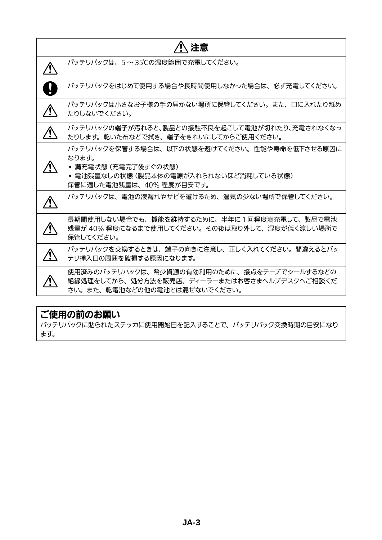| 注意                                                                                                                                                |
|---------------------------------------------------------------------------------------------------------------------------------------------------|
| バッテリパックは、5~35℃の温度範囲で充電してください。                                                                                                                     |
| バッテリパックをはじめて使用する場合や長時間使用しなかった場合は、必ず充電してください。                                                                                                      |
| バッテリパックは小さなお子様の手の届かない場所に保管してください。また、口に入れたり舐め<br>たりしないでください。                                                                                       |
| バッテリパックの端子が汚れると、製品との接触不良を起こして電池が切れたり、充電されなくなっ<br>たりします。乾いた布などで拭き、端子をきれいにしてからご使用ください。                                                              |
| バッテリパックを保管する場合は、以下の状態を避けてください。性能や寿命を低下させる原因に<br>なります。<br>• 満充電状態 (充電完了後すぐの状態)<br>• 電池残量なしの状態(製品本体の電源が入れられないほど消耗している状態)<br>保管に適した電池残量は、40%程度が目安です。 |
| バッテリパックは、電池の液漏れやサビを避けるため、湿気の少ない場所で保管してください。                                                                                                       |
| 長期間使用しない場合でも、機能を維持するために、半年に1回程度満充電して、製品で電池<br>残量が40%程度になるまで使用してください。その後は取り外して、湿度が低く涼しい場所で<br>保管してください。                                            |
| バッテリパックを交換するときは、端子の向きに注意し、正しく入れてください。間違えるとバッ<br>テリ挿入口の周囲を破損する原因になります。                                                                             |
| 使用済みのバッテリパックは、希少資源の有効利用のために、接点をテープでシールするなどの<br>絶縁処理をしてから、処分方法を販売店、ディーラーまたはお客さまへルプデスクへご相談くだ<br>さい。また、乾電池などの他の電池とは混ぜないでください。                        |
|                                                                                                                                                   |

# ご使用の前のお願い

バッテリパックに貼られたステッカに使用開始日を記入することで、バッテリパック交換時期の目安になり ます。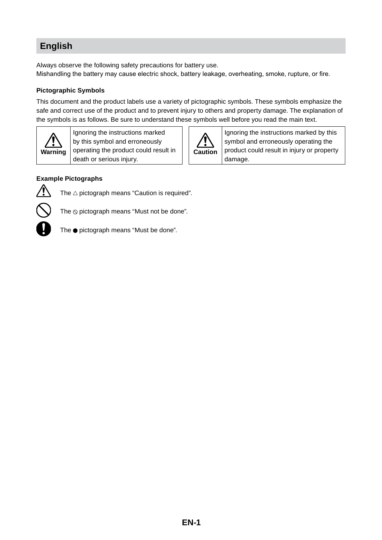# **English**

Always observe the following safety precautions for battery use. Mishandling the battery may cause electric shock, battery leakage, overheating, smoke, rupture, or fire.

#### **Pictographic Symbols**

This document and the product labels use a variety of pictographic symbols. These symbols emphasize the safe and correct use of the product and to prevent injury to others and property damage. The explanation of the symbols is as follows. Be sure to understand these symbols well before you read the main text.



Ignoring the instructions marked by this symbol and erroneously operating the product could result in death or serious injury.



Ignoring the instructions marked by this symbol and erroneously operating the product could result in injury or property damage.

#### **Example Pictographs**



The  $\triangle$  pictograph means "Caution is required".



The ● pictograph means "Must be done".

The  $\odot$  pictograph means "Must not be done".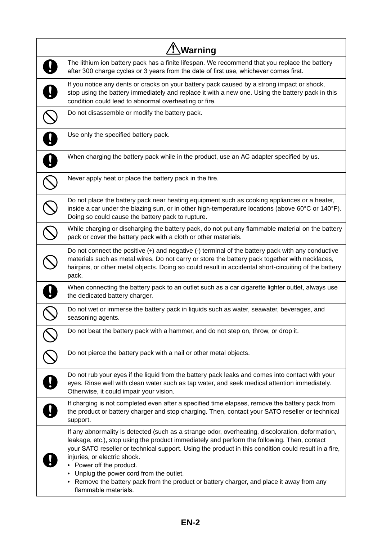| Warning                                                                                                                                                                                                                                                                                                                                                                                                                                                                                                                            |
|------------------------------------------------------------------------------------------------------------------------------------------------------------------------------------------------------------------------------------------------------------------------------------------------------------------------------------------------------------------------------------------------------------------------------------------------------------------------------------------------------------------------------------|
| The lithium ion battery pack has a finite lifespan. We recommend that you replace the battery<br>after 300 charge cycles or 3 years from the date of first use, whichever comes first.                                                                                                                                                                                                                                                                                                                                             |
| If you notice any dents or cracks on your battery pack caused by a strong impact or shock,<br>stop using the battery immediately and replace it with a new one. Using the battery pack in this<br>condition could lead to abnormal overheating or fire.                                                                                                                                                                                                                                                                            |
| Do not disassemble or modify the battery pack.                                                                                                                                                                                                                                                                                                                                                                                                                                                                                     |
| Use only the specified battery pack.                                                                                                                                                                                                                                                                                                                                                                                                                                                                                               |
| When charging the battery pack while in the product, use an AC adapter specified by us.                                                                                                                                                                                                                                                                                                                                                                                                                                            |
| Never apply heat or place the battery pack in the fire.                                                                                                                                                                                                                                                                                                                                                                                                                                                                            |
| Do not place the battery pack near heating equipment such as cooking appliances or a heater,<br>inside a car under the blazing sun, or in other high-temperature locations (above 60°C or 140°F).<br>Doing so could cause the battery pack to rupture.                                                                                                                                                                                                                                                                             |
| While charging or discharging the battery pack, do not put any flammable material on the battery<br>pack or cover the battery pack with a cloth or other materials.                                                                                                                                                                                                                                                                                                                                                                |
| Do not connect the positive (+) and negative (-) terminal of the battery pack with any conductive<br>materials such as metal wires. Do not carry or store the battery pack together with necklaces,<br>hairpins, or other metal objects. Doing so could result in accidental short-circuiting of the battery<br>pack.                                                                                                                                                                                                              |
| When connecting the battery pack to an outlet such as a car cigarette lighter outlet, always use<br>the dedicated battery charger.                                                                                                                                                                                                                                                                                                                                                                                                 |
| Do not wet or immerse the battery pack in liquids such as water, seawater, beverages, and<br>seasoning agents.                                                                                                                                                                                                                                                                                                                                                                                                                     |
| Do not beat the battery pack with a hammer, and do not step on, throw, or drop it.                                                                                                                                                                                                                                                                                                                                                                                                                                                 |
| Do not pierce the battery pack with a nail or other metal objects.                                                                                                                                                                                                                                                                                                                                                                                                                                                                 |
| Do not rub your eyes if the liquid from the battery pack leaks and comes into contact with your<br>eyes. Rinse well with clean water such as tap water, and seek medical attention immediately.<br>Otherwise, it could impair your vision.                                                                                                                                                                                                                                                                                         |
| If charging is not completed even after a specified time elapses, remove the battery pack from<br>the product or battery charger and stop charging. Then, contact your SATO reseller or technical<br>support.                                                                                                                                                                                                                                                                                                                      |
| If any abnormality is detected (such as a strange odor, overheating, discoloration, deformation,<br>leakage, etc.), stop using the product immediately and perform the following. Then, contact<br>your SATO reseller or technical support. Using the product in this condition could result in a fire,<br>injuries, or electric shock.<br>• Power off the product.<br>Unplug the power cord from the outlet.<br>• Remove the battery pack from the product or battery charger, and place it away from any<br>flammable materials. |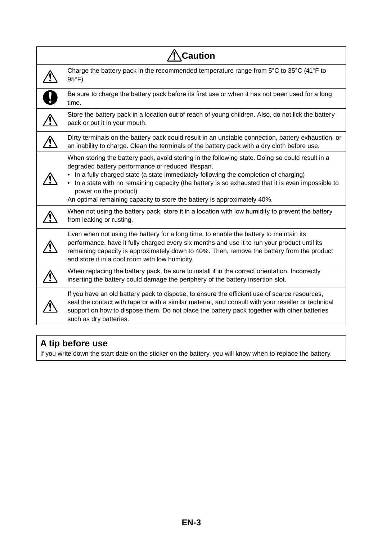| <b>Caution</b> |                                                                                                                                                                                                                                                                                                                                                                                                                                                        |
|----------------|--------------------------------------------------------------------------------------------------------------------------------------------------------------------------------------------------------------------------------------------------------------------------------------------------------------------------------------------------------------------------------------------------------------------------------------------------------|
|                | Charge the battery pack in the recommended temperature range from 5°C to 35°C (41°F to<br>$95^{\circ}$ F).                                                                                                                                                                                                                                                                                                                                             |
|                | Be sure to charge the battery pack before its first use or when it has not been used for a long<br>time.                                                                                                                                                                                                                                                                                                                                               |
|                | Store the battery pack in a location out of reach of young children. Also, do not lick the battery<br>pack or put it in your mouth.                                                                                                                                                                                                                                                                                                                    |
|                | Dirty terminals on the battery pack could result in an unstable connection, battery exhaustion, or<br>an inability to charge. Clean the terminals of the battery pack with a dry cloth before use.                                                                                                                                                                                                                                                     |
|                | When storing the battery pack, avoid storing in the following state. Doing so could result in a<br>degraded battery performance or reduced lifespan.<br>In a fully charged state (a state immediately following the completion of charging)<br>• In a state with no remaining capacity (the battery is so exhausted that it is even impossible to<br>power on the product)<br>An optimal remaining capacity to store the battery is approximately 40%. |
|                | When not using the battery pack, store it in a location with low humidity to prevent the battery<br>from leaking or rusting.                                                                                                                                                                                                                                                                                                                           |
|                | Even when not using the battery for a long time, to enable the battery to maintain its<br>performance, have it fully charged every six months and use it to run your product until its<br>remaining capacity is approximately down to 40%. Then, remove the battery from the product<br>and store it in a cool room with low humidity.                                                                                                                 |
|                | When replacing the battery pack, be sure to install it in the correct orientation. Incorrectly<br>inserting the battery could damage the periphery of the battery insertion slot.                                                                                                                                                                                                                                                                      |
|                | If you have an old battery pack to dispose, to ensure the efficient use of scarce resources,<br>seal the contact with tape or with a similar material, and consult with your reseller or technical<br>support on how to dispose them. Do not place the battery pack together with other batteries<br>such as dry batteries.                                                                                                                            |

# **A tip before use**

If you write down the start date on the sticker on the battery, you will know when to replace the battery.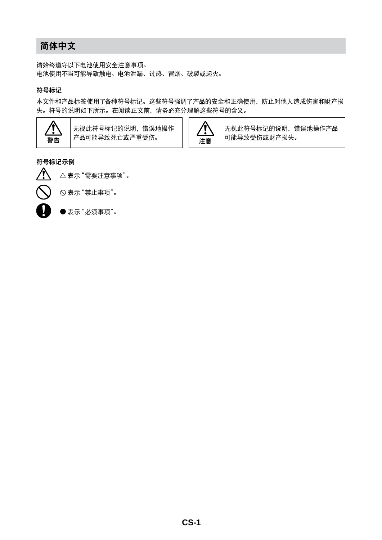## 简体中文

请始终遵守以下电池使用安全注意事项。 电池使用不当可能导致触电、电池泄漏、过热、冒烟、破裂或起火。

#### 符号标记

本文件和产品标签使用了各种符号标记。这些符号强调了产品的安全和正确使用,防止对他人造成伤害和财产损 失。符号的说明如下所示。在阅读正文前,请务必充分理解这些符号的含义。



无视此符号标记的说明,错误地操作 无视此符号标记的说明,错误地操作 <br>产品可能导致死亡或严重受伤。 注意



无视此符号标记的说明,错误地操作产品 可能导致受伤或财产损失。

#### 符号标记示例



表示"禁止事项"。



表示"必须事项"。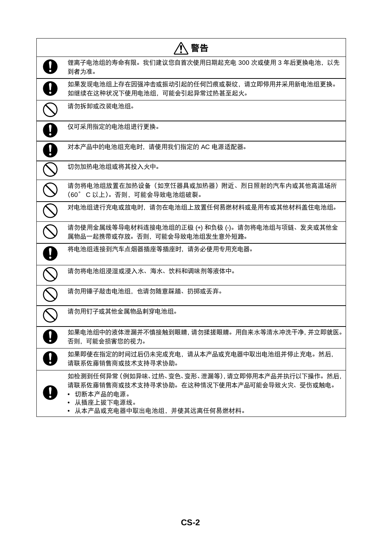| 警告                                                                                                                                                              |
|-----------------------------------------------------------------------------------------------------------------------------------------------------------------|
| 锂离子电池组的寿命有限。我们建议您自首次使用日期起充电 300 次或使用 3 年后更换电池,以先<br>到者为准。                                                                                                       |
| 如果发现电池组上存在因强冲击或振动引起的任何凹痕或裂纹,请立即停用并采用新电池组更换。<br>如继续在这种状况下使用电池组,可能会引起异常过热甚至起火。                                                                                    |
| 请勿拆卸或改装电池组。                                                                                                                                                     |
| 仅可采用指定的电池组进行更换。                                                                                                                                                 |
| 对本产品中的电池组充电时,请使用我们指定的 AC 电源适配器。                                                                                                                                 |
| 切勿加热电池组或将其投入火中。                                                                                                                                                 |
| 请勿将电池组放置在加热设备(如烹饪器具或加热器)附近、烈日照射的汽车内或其他高温场所<br>(60° C 以上)。否则, 可能会导致电池组破裂。                                                                                        |
| 对电池组进行充电或放电时,请勿在电池组上放置任何易燃材料或是用布或其他材料盖住电池组。                                                                                                                     |
| 请勿使用金属线等导电材料连接电池组的正极 (+) 和负极 (-)。请勿将电池组与项链、发夹或其他金<br>属物品一起携带或存放。否则,可能会导致电池组发生意外短路。                                                                              |
| 将电池组连接到汽车点烟器插座等插座时,请务必使用专用充电器。                                                                                                                                  |
| 请勿将电池组浸湿或浸入水、海水、饮料和调味剂等液体中。                                                                                                                                     |
| 请勿用锤子敲击电池组,也请勿随意踩踏、扔掷或丢弃。                                                                                                                                       |
| 请勿用钉子或其他金属物品刺穿电池组。                                                                                                                                              |
| 如果电池组中的液体泄漏并不慎接触到眼睛,请勿揉搓眼睛。用自来水等清水冲洗干净,并立即就医。<br>否则,可能会损害您的视力。                                                                                                  |
| 如果即使在指定的时间过后仍未完成充电,请从本产品或充电器中取出电池组并停止充电。然后,<br>请联系佐藤销售商或技术支持寻求协助。                                                                                               |
| 如检测到任何异常(例如异味、过热、变色、变形、泄漏等),请立即停用本产品并执行以下操作。 然后,<br>请联系佐藤销售商或技术支持寻求协助。在这种情况下使用本产品可能会导致火灾、受伤或触电。<br>• 切断本产品的电源。<br>• 从插座上拔下电源线。<br>• 从本产品或充电器中取出电池组,并使其远离任何易燃材料。 |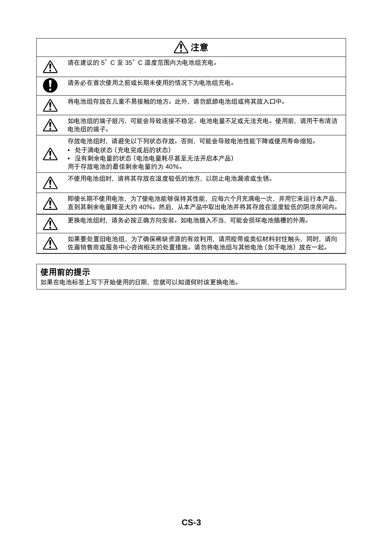| 注意                                                                                                                       |
|--------------------------------------------------------------------------------------------------------------------------|
| 请在建议的 5°C 至 35°C 温度范围内为电池组充电。                                                                                            |
| 请务必在首次使用之前或长期未使用的情况下为电池组充电。                                                                                              |
| 将电池组存放在儿童不易接触的地方。此外,请勿舐舔电池组或将其放入口中。                                                                                      |
| 如电池组的端子脏污,可能会导致连接不稳定、电池电量不足或无法充电。使用前,请用干布清洁<br>电池组的端子。                                                                   |
| 存放电池组时,请避免以下列状态存放。否则,可能会导致电池性能下降或使用寿命缩短。<br>• 处于满电状态 (充电完成后的状态)<br>• 没有剩余电量的状态 (电池电量耗尽甚至无法开启本产品)<br>用于存放电池的最佳剩余电量约为 40%。 |
| 不使用电池组时,请将其存放在湿度较低的地方,以防止电池漏液或生锈。                                                                                        |
| 即使长期不使用电池,为了使电池能够保持其性能,应每六个月充满电一次,并用它来运行本产品,<br>直到其剩余电量降至大约 40%。然后,从本产品中取出电池并将其存放在湿度较低的阴凉房间内。                            |
| 更换电池组时,请务必按正确方向安装。如电池插入不当,可能会损坏电池插槽的外周。                                                                                  |
| 如果要处置旧电池组,为了确保稀缺资源的有效利用,请用胶带或类似材料封住触头,同时,请向<br>佐藤销售商或服务中心咨询相关的处置措施。请勿将电池组与其他电池(如干电池)放在一起。                                |

# 使用前的提示

如果在电池标签上写下开始使用的日期,您就可以知道何时该更换电池。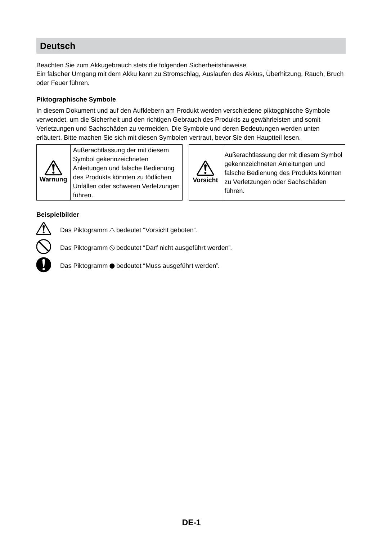## **Deutsch**

Beachten Sie zum Akkugebrauch stets die folgenden Sicherheitshinweise.

Ein falscher Umgang mit dem Akku kann zu Stromschlag, Auslaufen des Akkus, Überhitzung, Rauch, Bruch oder Feuer führen.

#### **Piktographische Symbole**

In diesem Dokument und auf den Aufklebern am Produkt werden verschiedene piktogphische Symbole verwendet, um die Sicherheit und den richtigen Gebrauch des Produkts zu gewährleisten und somit Verletzungen und Sachschäden zu vermeiden. Die Symbole und deren Bedeutungen werden unten erläutert. Bitte machen Sie sich mit diesen Symbolen vertraut, bevor Sie den Hauptteil lesen.



Außerachtlassung der mit diesem Symbol gekennzeichneten Anleitungen und falsche Bedienung des Produkts könnten zu tödlichen Unfällen oder schweren Verletzungen führen.



Außerachtlassung der mit diesem Symbol gekennzeichneten Anleitungen und falsche Bedienung des Produkts könnten zu Verletzungen oder Sachschäden führen.

#### **Beispielbilder**



Das Piktogramm  $\triangle$  bedeutet "Vorsicht geboten".

Das Piktogramm  $\odot$  bedeutet "Darf nicht ausgeführt werden".

Das Piktogramm  $\bullet$  bedeutet "Muss ausgeführt werden".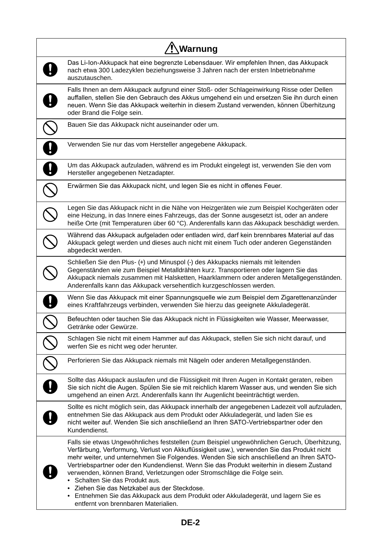| '!∖Warnung                                                                                                                                                                                                                                                                                                                                                                                                                                                                                                                                                                                                                                                                                 |  |
|--------------------------------------------------------------------------------------------------------------------------------------------------------------------------------------------------------------------------------------------------------------------------------------------------------------------------------------------------------------------------------------------------------------------------------------------------------------------------------------------------------------------------------------------------------------------------------------------------------------------------------------------------------------------------------------------|--|
| Das Li-Ion-Akkupack hat eine begrenzte Lebensdauer. Wir empfehlen Ihnen, das Akkupack<br>nach etwa 300 Ladezyklen beziehungsweise 3 Jahren nach der ersten Inbetriebnahme<br>auszutauschen.                                                                                                                                                                                                                                                                                                                                                                                                                                                                                                |  |
| Falls Ihnen an dem Akkupack aufgrund einer Stoß- oder Schlageinwirkung Risse oder Dellen<br>auffallen, stellen Sie den Gebrauch des Akkus umgehend ein und ersetzen Sie ihn durch einen<br>neuen. Wenn Sie das Akkupack weiterhin in diesem Zustand verwenden, können Überhitzung<br>oder Brand die Folge sein.                                                                                                                                                                                                                                                                                                                                                                            |  |
| Bauen Sie das Akkupack nicht auseinander oder um.                                                                                                                                                                                                                                                                                                                                                                                                                                                                                                                                                                                                                                          |  |
| Verwenden Sie nur das vom Hersteller angegebene Akkupack.                                                                                                                                                                                                                                                                                                                                                                                                                                                                                                                                                                                                                                  |  |
| Um das Akkupack aufzuladen, während es im Produkt eingelegt ist, verwenden Sie den vom<br>Hersteller angegebenen Netzadapter.                                                                                                                                                                                                                                                                                                                                                                                                                                                                                                                                                              |  |
| Erwärmen Sie das Akkupack nicht, und legen Sie es nicht in offenes Feuer.                                                                                                                                                                                                                                                                                                                                                                                                                                                                                                                                                                                                                  |  |
| Legen Sie das Akkupack nicht in die Nähe von Heizgeräten wie zum Beispiel Kochgeräten oder<br>eine Heizung, in das Innere eines Fahrzeugs, das der Sonne ausgesetzt ist, oder an andere<br>heiße Orte (mit Temperaturen über 60 °C). Anderenfalls kann das Akkupack beschädigt werden.                                                                                                                                                                                                                                                                                                                                                                                                     |  |
| Während das Akkupack aufgeladen oder entladen wird, darf kein brennbares Material auf das<br>Akkupack gelegt werden und dieses auch nicht mit einem Tuch oder anderen Gegenständen<br>abgedeckt werden.                                                                                                                                                                                                                                                                                                                                                                                                                                                                                    |  |
| Schließen Sie den Plus- (+) und Minuspol (-) des Akkupacks niemals mit leitenden<br>Gegenständen wie zum Beispiel Metalldrähten kurz. Transportieren oder lagern Sie das<br>Akkupack niemals zusammen mit Halsketten, Haarklammern oder anderen Metallgegenständen.<br>Anderenfalls kann das Akkupack versehentlich kurzgeschlossen werden.                                                                                                                                                                                                                                                                                                                                                |  |
| Wenn Sie das Akkupack mit einer Spannungsquelle wie zum Beispiel dem Zigarettenanzünder<br>eines Kraftfahrzeugs verbinden, verwenden Sie hierzu das geeignete Akkuladegerät.                                                                                                                                                                                                                                                                                                                                                                                                                                                                                                               |  |
| Befeuchten oder tauchen Sie das Akkupack nicht in Flüssigkeiten wie Wasser, Meerwasser,<br>Getränke oder Gewürze.                                                                                                                                                                                                                                                                                                                                                                                                                                                                                                                                                                          |  |
| Schlagen Sie nicht mit einem Hammer auf das Akkupack, stellen Sie sich nicht darauf, und<br>werfen Sie es nicht weg oder herunter.                                                                                                                                                                                                                                                                                                                                                                                                                                                                                                                                                         |  |
| Perforieren Sie das Akkupack niemals mit Nägeln oder anderen Metallgegenständen.                                                                                                                                                                                                                                                                                                                                                                                                                                                                                                                                                                                                           |  |
| Sollte das Akkupack auslaufen und die Flüssigkeit mit Ihren Augen in Kontakt geraten, reiben<br>Sie sich nicht die Augen. Spülen Sie sie mit reichlich klarem Wasser aus, und wenden Sie sich<br>umgehend an einen Arzt. Anderenfalls kann Ihr Augenlicht beeinträchtigt werden.                                                                                                                                                                                                                                                                                                                                                                                                           |  |
| Sollte es nicht möglich sein, das Akkupack innerhalb der angegebenen Ladezeit voll aufzuladen,<br>entnehmen Sie das Akkupack aus dem Produkt oder Akkuladegerät, und laden Sie es<br>nicht weiter auf. Wenden Sie sich anschließend an Ihren SATO-Vertriebspartner oder den<br>Kundendienst.                                                                                                                                                                                                                                                                                                                                                                                               |  |
| Falls sie etwas Ungewöhnliches feststellen (zum Beispiel ungewöhnlichen Geruch, Überhitzung,<br>Verfärbung, Verformung, Verlust von Akkuflüssigkeit usw.), verwenden Sie das Produkt nicht<br>mehr weiter, und unternehmen Sie Folgendes. Wenden Sie sich anschließend an Ihren SATO-<br>Vertriebspartner oder den Kundendienst. Wenn Sie das Produkt weiterhin in diesem Zustand<br>verwenden, können Brand, Verletzungen oder Stromschläge die Folge sein.<br>Schalten Sie das Produkt aus.<br>$\bullet$<br>Ziehen Sie das Netzkabel aus der Steckdose.<br>Entnehmen Sie das Akkupack aus dem Produkt oder Akkuladegerät, und lagern Sie es<br>٠<br>entfernt von brennbaren Materialien. |  |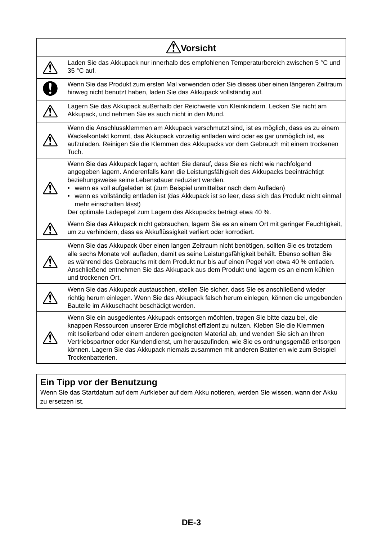| Vorsicht                                                                                                                                                                                                                                                                                                                                                                                                                                                                                                                |
|-------------------------------------------------------------------------------------------------------------------------------------------------------------------------------------------------------------------------------------------------------------------------------------------------------------------------------------------------------------------------------------------------------------------------------------------------------------------------------------------------------------------------|
| Laden Sie das Akkupack nur innerhalb des empfohlenen Temperaturbereich zwischen 5 °C und<br>35 °C auf.                                                                                                                                                                                                                                                                                                                                                                                                                  |
| Wenn Sie das Produkt zum ersten Mal verwenden oder Sie dieses über einen längeren Zeitraum<br>hinweg nicht benutzt haben, laden Sie das Akkupack vollständig auf.                                                                                                                                                                                                                                                                                                                                                       |
| Lagern Sie das Akkupack außerhalb der Reichweite von Kleinkindern. Lecken Sie nicht am<br>Akkupack, und nehmen Sie es auch nicht in den Mund.                                                                                                                                                                                                                                                                                                                                                                           |
| Wenn die Anschlussklemmen am Akkupack verschmutzt sind, ist es möglich, dass es zu einem<br>Wackelkontakt kommt, das Akkupack vorzeitig entladen wird oder es gar unmöglich ist, es<br>aufzuladen. Reinigen Sie die Klemmen des Akkupacks vor dem Gebrauch mit einem trockenen<br>Tuch.                                                                                                                                                                                                                                 |
| Wenn Sie das Akkupack lagern, achten Sie darauf, dass Sie es nicht wie nachfolgend<br>angegeben lagern. Anderenfalls kann die Leistungsfähigkeit des Akkupacks beeinträchtigt<br>beziehungsweise seine Lebensdauer reduziert werden.<br>• wenn es voll aufgeladen ist (zum Beispiel unmittelbar nach dem Aufladen)<br>• wenn es vollständig entladen ist (das Akkupack ist so leer, dass sich das Produkt nicht einmal<br>mehr einschalten lässt)<br>Der optimale Ladepegel zum Lagern des Akkupacks beträgt etwa 40 %. |
| Wenn Sie das Akkupack nicht gebrauchen, lagern Sie es an einem Ort mit geringer Feuchtigkeit,<br>um zu verhindern, dass es Akkuflüssigkeit verliert oder korrodiert.                                                                                                                                                                                                                                                                                                                                                    |
| Wenn Sie das Akkupack über einen langen Zeitraum nicht benötigen, sollten Sie es trotzdem<br>alle sechs Monate voll aufladen, damit es seine Leistungsfähigkeit behält. Ebenso sollten Sie<br>es während des Gebrauchs mit dem Produkt nur bis auf einen Pegel von etwa 40 % entladen.<br>Anschließend entnehmen Sie das Akkupack aus dem Produkt und lagern es an einem kühlen<br>und trockenen Ort.                                                                                                                   |
| Wenn Sie das Akkupack austauschen, stellen Sie sicher, dass Sie es anschließend wieder<br>richtig herum einlegen. Wenn Sie das Akkupack falsch herum einlegen, können die umgebenden<br>Bauteile im Akkuschacht beschädigt werden.                                                                                                                                                                                                                                                                                      |
| Wenn Sie ein ausgedientes Akkupack entsorgen möchten, tragen Sie bitte dazu bei, die<br>knappen Ressourcen unserer Erde möglichst effizient zu nutzen. Kleben Sie die Klemmen<br>mit Isolierband oder einem anderen geeigneten Material ab, und wenden Sie sich an Ihren<br>Vertriebspartner oder Kundendienst, um herauszufinden, wie Sie es ordnungsgemäß entsorgen<br>können. Lagern Sie das Akkupack niemals zusammen mit anderen Batterien wie zum Beispiel<br>Trockenbatterien.                                   |

# **Ein Tipp vor der Benutzung**

Wenn Sie das Startdatum auf dem Aufkleber auf dem Akku notieren, werden Sie wissen, wann der Akku zu ersetzen ist.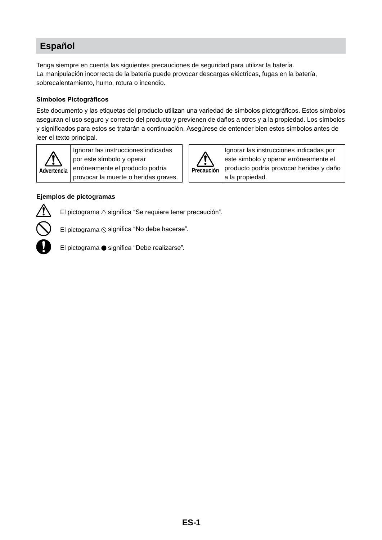## **Español**

Tenga siempre en cuenta las siguientes precauciones de seguridad para utilizar la batería. La manipulación incorrecta de la batería puede provocar descargas eléctricas, fugas en la batería, sobrecalentamiento, humo, rotura o incendio.

#### **Símbolos Pictográficos**

Este documento y las etiquetas del producto utilizan una variedad de símbolos pictográficos. Estos símbolos aseguran el uso seguro y correcto del producto y previenen de daños a otros y a la propiedad. Los símbolos y significados para estos se tratarán a continuación. Asegúrese de entender bien estos símbolos antes de leer el texto principal.



Ignorar las instrucciones indicadas por este símbolo y operar erróneamente el producto podría provocar la muerte o heridas graves.



Ignorar las instrucciones indicadas por este símbolo y operar erróneamente el producto podría provocar heridas y daño a la propiedad.

#### **Ejemplos de pictogramas**



El pictograma  $\triangle$  significa "Se requiere tener precaución".



El pictograma  $\odot$  significa "No debe hacerse".

El pictograma · significa "Debe realizarse".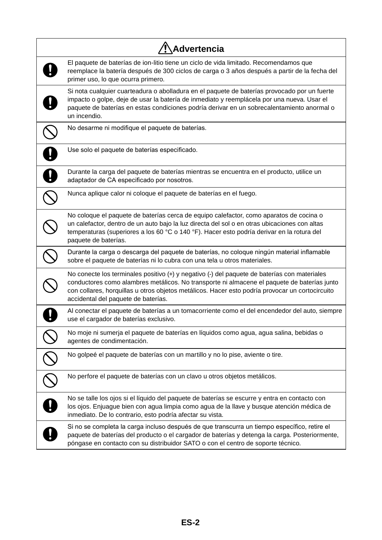| Advertencia                                                                                                                                                                                                                                                                                                                           |
|---------------------------------------------------------------------------------------------------------------------------------------------------------------------------------------------------------------------------------------------------------------------------------------------------------------------------------------|
| El paquete de baterías de ion-litio tiene un ciclo de vida limitado. Recomendamos que<br>reemplace la batería después de 300 ciclos de carga o 3 años después a partir de la fecha del<br>primer uso, lo que ocurra primero.                                                                                                          |
| Si nota cualquier cuarteadura o abolladura en el paquete de baterías provocado por un fuerte<br>impacto o golpe, deje de usar la batería de inmediato y reemplácela por una nueva. Usar el<br>paquete de baterías en estas condiciones podría derivar en un sobrecalentamiento anormal o<br>un incendio.                              |
| No desarme ni modifique el paquete de baterías.                                                                                                                                                                                                                                                                                       |
| Use solo el paquete de baterías especificado.                                                                                                                                                                                                                                                                                         |
| Durante la carga del paquete de baterías mientras se encuentra en el producto, utilice un<br>adaptador de CA especificado por nosotros.                                                                                                                                                                                               |
| Nunca aplique calor ni coloque el paquete de baterías en el fuego.                                                                                                                                                                                                                                                                    |
| No coloque el paquete de baterías cerca de equipo calefactor, como aparatos de cocina o<br>un calefactor, dentro de un auto bajo la luz directa del sol o en otras ubicaciones con altas<br>temperaturas (superiores a los 60 °C o 140 °F). Hacer esto podría derivar en la rotura del<br>paquete de baterías.                        |
| Durante la carga o descarga del paquete de baterías, no coloque ningún material inflamable<br>sobre el paquete de baterías ni lo cubra con una tela u otros materiales.                                                                                                                                                               |
| No conecte los terminales positivo (+) y negativo (-) del paquete de baterías con materiales<br>conductores como alambres metálicos. No transporte ni almacene el paquete de baterías junto<br>con collares, horquillas u otros objetos metálicos. Hacer esto podría provocar un cortocircuito<br>accidental del paquete de baterías. |
| Al conectar el paquete de baterías a un tomacorriente como el del encendedor del auto, siempre<br>use el cargador de baterías exclusivo.                                                                                                                                                                                              |
| No moje ni sumerja el paquete de baterías en líquidos como agua, agua salina, bebidas o<br>agentes de condimentación.                                                                                                                                                                                                                 |
| No golpeé el paquete de baterías con un martillo y no lo pise, aviente o tire.                                                                                                                                                                                                                                                        |
| No perfore el paquete de baterías con un clavo u otros objetos metálicos.                                                                                                                                                                                                                                                             |
| No se talle los ojos si el líquido del paquete de baterías se escurre y entra en contacto con<br>los ojos. Enjuague bien con agua limpia como agua de la llave y busque atención médica de<br>inmediato. De lo contrario, esto podría afectar su vista.                                                                               |
| Si no se completa la carga incluso después de que transcurra un tiempo específico, retire el<br>paquete de baterías del producto o el cargador de baterías y detenga la carga. Posteriormente,<br>póngase en contacto con su distribuidor SATO o con el centro de soporte técnico.                                                    |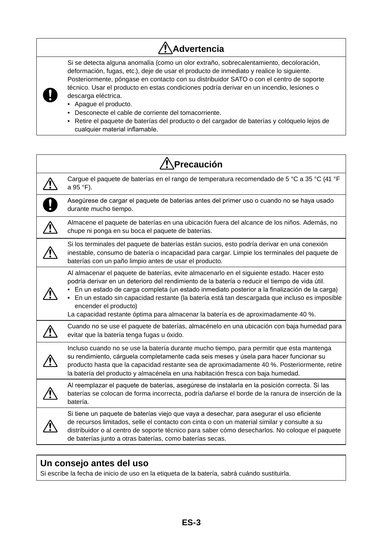# **Advertencia**

Si se detecta alguna anomalía (como un olor extraño, sobrecalentamiento, decoloración, deformación, fugas, etc.), deje de usar el producto de inmediato y realice lo siguiente. Posteriormente, póngase en contacto con su distribuidor SATO o con el centro de soporte técnico. Usar el producto en estas condiciones podría derivar en un incendio, lesiones o descarga eléctrica.

• Apague el producto.

**L** 

- Desconecte el cable de corriente del tomacorriente.
- Retire el paquete de baterías del producto o del cargador de baterías y colóquelo lejos de cualquier material inflamable.

| Precaución                                                                                                                                                                                                                                                                                                                                                                                                                                                                                                   |
|--------------------------------------------------------------------------------------------------------------------------------------------------------------------------------------------------------------------------------------------------------------------------------------------------------------------------------------------------------------------------------------------------------------------------------------------------------------------------------------------------------------|
| Cargue el paquete de baterías en el rango de temperatura recomendado de 5 °C a 35 °C (41 °F<br>a 95 °F).                                                                                                                                                                                                                                                                                                                                                                                                     |
| Asegúrese de cargar el paquete de baterías antes del primer uso o cuando no se haya usado<br>durante mucho tiempo.                                                                                                                                                                                                                                                                                                                                                                                           |
| Almacene el paquete de baterías en una ubicación fuera del alcance de los niños. Además, no<br>chupe ni ponga en su boca el paquete de baterías.                                                                                                                                                                                                                                                                                                                                                             |
| Si los terminales del paquete de baterías están sucios, esto podría derivar en una conexión<br>inestable, consumo de batería o incapacidad para cargar. Limpie los terminales del paquete de<br>baterías con un paño limpio antes de usar el producto.                                                                                                                                                                                                                                                       |
| Al almacenar el paquete de baterías, evite almacenarlo en el siguiente estado. Hacer esto<br>podría derivar en un deterioro del rendimiento de la batería o reducir el tiempo de vida útil.<br>En un estado de carga completa (un estado inmediato posterior a la finalización de la carga)<br>• En un estado sin capacidad restante (la batería está tan descargada que incluso es imposible<br>encender el producto)<br>La capacidad restante óptima para almacenar la batería es de aproximadamente 40 %. |
| Cuando no se use el paquete de baterías, almacénelo en una ubicación con baja humedad para<br>evitar que la batería tenga fugas u óxido.                                                                                                                                                                                                                                                                                                                                                                     |
| Incluso cuando no se use la batería durante mucho tiempo, para permitir que esta mantenga<br>su rendimiento, cárguela completamente cada seis meses y úsela para hacer funcionar su<br>producto hasta que la capacidad restante sea de aproximadamente 40 %. Posteriormente, retire<br>la batería del producto y almacénela en una habitación fresca con baja humedad.                                                                                                                                       |
| Al reemplazar el paquete de baterías, asegúrese de instalarla en la posición correcta. Si las<br>baterías se colocan de forma incorrecta, podría dañarse el borde de la ranura de inserción de la<br>batería.                                                                                                                                                                                                                                                                                                |
| Si tiene un paquete de baterías viejo que vaya a desechar, para asegurar el uso eficiente<br>de recursos limitados, selle el contacto con cinta o con un material similar y consulte a su<br>distribuidor o al centro de soporte técnico para saber cómo desecharlos. No coloque el paquete<br>de baterías junto a otras baterías, como baterías secas.                                                                                                                                                      |

#### **Un consejo antes del uso**

Si escribe la fecha de inicio de uso en la etiqueta de la batería, sabrá cuándo sustituirla.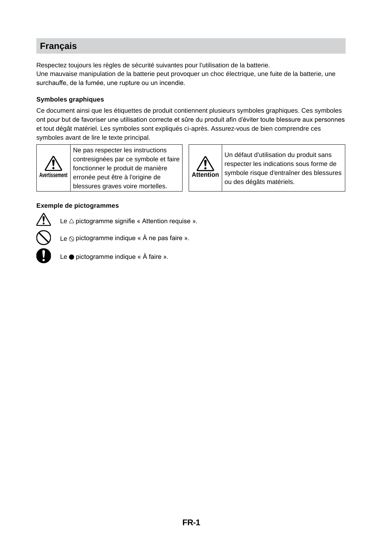## **Français**

Respectez toujours les règles de sécurité suivantes pour l'utilisation de la batterie. Une mauvaise manipulation de la batterie peut provoquer un choc électrique, une fuite de la batterie, une surchauffe, de la fumée, une rupture ou un incendie.

#### **Symboles graphiques**

Ce document ainsi que les étiquettes de produit contiennent plusieurs symboles graphiques. Ces symboles ont pour but de favoriser une utilisation correcte et sûre du produit afin d'éviter toute blessure aux personnes et tout dégât matériel. Les symboles sont expliqués ci-après. Assurez-vous de bien comprendre ces symboles avant de lire le texte principal.



Ne pas respecter les instructions contresignées par ce symbole et faire fonctionner le produit de manière erronée peut être à l'origine de blessures graves voire mortelles.

#### **Exemple de pictogrammes**



Le  $\triangle$  pictogramme signifie « Attention requise ».

Le  $\odot$  pictogramme indique «  $\dot{A}$  ne pas faire ».



Le  $\bullet$  pictogramme indique «  $\land$  faire ».



**Attention**

Un défaut d'utilisation du produit sans respecter les indications sous forme de symbole risque d'entraîner des blessures

ou des dégâts matériels.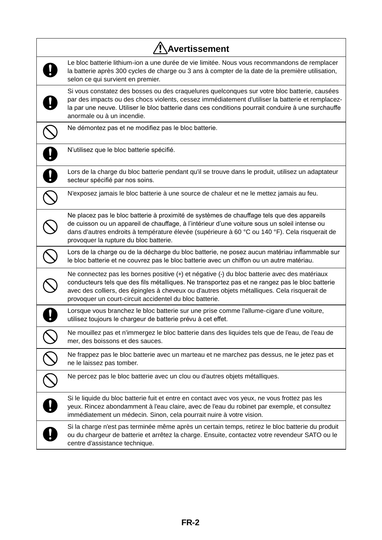| Avertissement                                                                                                                                                                                                                                                                                                                                              |
|------------------------------------------------------------------------------------------------------------------------------------------------------------------------------------------------------------------------------------------------------------------------------------------------------------------------------------------------------------|
| Le bloc batterie lithium-ion a une durée de vie limitée. Nous vous recommandons de remplacer<br>la batterie après 300 cycles de charge ou 3 ans à compter de la date de la première utilisation,<br>selon ce qui survient en premier.                                                                                                                      |
| Si vous constatez des bosses ou des craquelures quelconques sur votre bloc batterie, causées<br>par des impacts ou des chocs violents, cessez immédiatement d'utiliser la batterie et remplacez-<br>la par une neuve. Utiliser le bloc batterie dans ces conditions pourrait conduire à une surchauffe<br>anormale ou à un incendie.                       |
| Ne démontez pas et ne modifiez pas le bloc batterie.                                                                                                                                                                                                                                                                                                       |
| N'utilisez que le bloc batterie spécifié.                                                                                                                                                                                                                                                                                                                  |
| Lors de la charge du bloc batterie pendant qu'il se trouve dans le produit, utilisez un adaptateur<br>secteur spécifié par nos soins.                                                                                                                                                                                                                      |
| N'exposez jamais le bloc batterie à une source de chaleur et ne le mettez jamais au feu.                                                                                                                                                                                                                                                                   |
| Ne placez pas le bloc batterie à proximité de systèmes de chauffage tels que des appareils<br>de cuisson ou un appareil de chauffage, à l'intérieur d'une voiture sous un soleil intense ou<br>dans d'autres endroits à température élevée (supérieure à 60 °C ou 140 °F). Cela risquerait de<br>provoquer la rupture du bloc batterie.                    |
| Lors de la charge ou de la décharge du bloc batterie, ne posez aucun matériau inflammable sur<br>le bloc batterie et ne couvrez pas le bloc batterie avec un chiffon ou un autre matériau.                                                                                                                                                                 |
| Ne connectez pas les bornes positive (+) et négative (-) du bloc batterie avec des matériaux<br>conducteurs tels que des fils métalliques. Ne transportez pas et ne rangez pas le bloc batterie<br>avec des colliers, des épingles à cheveux ou d'autres objets métalliques. Cela risquerait de<br>provoquer un court-circuit accidentel du bloc batterie. |
| Lorsque vous branchez le bloc batterie sur une prise comme l'allume-cigare d'une voiture,<br>utilisez toujours le chargeur de batterie prévu à cet effet.                                                                                                                                                                                                  |
| Ne mouillez pas et n'immergez le bloc batterie dans des liquides tels que de l'eau, de l'eau de<br>mer, des boissons et des sauces.                                                                                                                                                                                                                        |
| Ne frappez pas le bloc batterie avec un marteau et ne marchez pas dessus, ne le jetez pas et<br>ne le laissez pas tomber.                                                                                                                                                                                                                                  |
| Ne percez pas le bloc batterie avec un clou ou d'autres objets métalliques.                                                                                                                                                                                                                                                                                |
| Si le liquide du bloc batterie fuit et entre en contact avec vos yeux, ne vous frottez pas les<br>yeux. Rincez abondamment à l'eau claire, avec de l'eau du robinet par exemple, et consultez<br>immédiatement un médecin. Sinon, cela pourrait nuire à votre vision.                                                                                      |
| Si la charge n'est pas terminée même après un certain temps, retirez le bloc batterie du produit<br>ou du chargeur de batterie et arrêtez la charge. Ensuite, contactez votre revendeur SATO ou le<br>centre d'assistance technique.                                                                                                                       |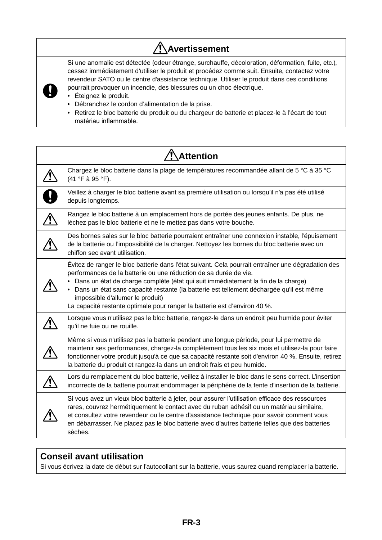# **Avertissement**

Si une anomalie est détectée (odeur étrange, surchauffe, décoloration, déformation, fuite, etc.), cessez immédiatement d'utiliser le produit et procédez comme suit. Ensuite, contactez votre revendeur SATO ou le centre d'assistance technique. Utiliser le produit dans ces conditions



• Éteignez le produit.

J

- Débranchez le cordon d'alimentation de la prise.
- Retirez le bloc batterie du produit ou du chargeur de batterie et placez-le à l'écart de tout matériau inflammable.

| <b>Attention</b>                                                                                                                                                                                                                                                                                                                                                                                                                                                        |  |
|-------------------------------------------------------------------------------------------------------------------------------------------------------------------------------------------------------------------------------------------------------------------------------------------------------------------------------------------------------------------------------------------------------------------------------------------------------------------------|--|
| Chargez le bloc batterie dans la plage de températures recommandée allant de 5 °C à 35 °C<br>(41 °F à 95 °F).                                                                                                                                                                                                                                                                                                                                                           |  |
| Veillez à charger le bloc batterie avant sa première utilisation ou lorsqu'il n'a pas été utilisé<br>depuis longtemps.                                                                                                                                                                                                                                                                                                                                                  |  |
| Rangez le bloc batterie à un emplacement hors de portée des jeunes enfants. De plus, ne<br>léchez pas le bloc batterie et ne le mettez pas dans votre bouche.                                                                                                                                                                                                                                                                                                           |  |
| Des bornes sales sur le bloc batterie pourraient entraîner une connexion instable, l'épuisement<br>de la batterie ou l'impossibilité de la charger. Nettoyez les bornes du bloc batterie avec un<br>chiffon sec avant utilisation.                                                                                                                                                                                                                                      |  |
| Evitez de ranger le bloc batterie dans l'état suivant. Cela pourrait entraîner une dégradation des<br>performances de la batterie ou une réduction de sa durée de vie.<br>Dans un état de charge complète (état qui suit immédiatement la fin de la charge)<br>Dans un état sans capacité restante (la batterie est tellement déchargée qu'il est même<br>impossible d'allumer le produit)<br>La capacité restante optimale pour ranger la batterie est d'environ 40 %. |  |
| Lorsque vous n'utilisez pas le bloc batterie, rangez-le dans un endroit peu humide pour éviter<br>qu'il ne fuie ou ne rouille.                                                                                                                                                                                                                                                                                                                                          |  |
| Même si vous n'utilisez pas la batterie pendant une longue période, pour lui permettre de<br>maintenir ses performances, chargez-la complètement tous les six mois et utilisez-la pour faire<br>fonctionner votre produit jusqu'à ce que sa capacité restante soit d'environ 40 %. Ensuite, retirez<br>la batterie du produit et rangez-la dans un endroit frais et peu humide.                                                                                         |  |
| Lors du remplacement du bloc batterie, veillez à installer le bloc dans le sens correct. L'insertion<br>incorrecte de la batterie pourrait endommager la périphérie de la fente d'insertion de la batterie.                                                                                                                                                                                                                                                             |  |
| Si vous avez un vieux bloc batterie à jeter, pour assurer l'utilisation efficace des ressources<br>rares, couvrez hermétiquement le contact avec du ruban adhésif ou un matériau similaire,<br>et consultez votre revendeur ou le centre d'assistance technique pour savoir comment vous<br>en débarrasser. Ne placez pas le bloc batterie avec d'autres batterie telles que des batteries<br>sèches.                                                                   |  |

#### **Conseil avant utilisation**

Si vous écrivez la date de début sur l'autocollant sur la batterie, vous saurez quand remplacer la batterie.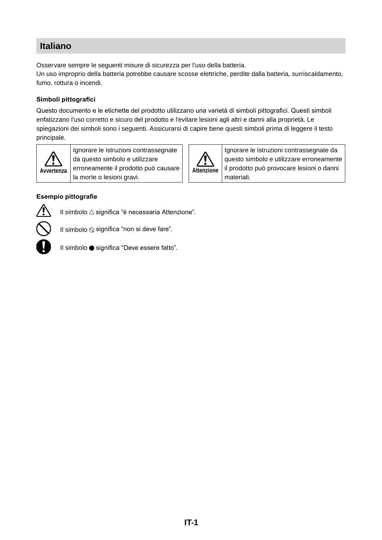## **Italiano**

Osservare sempre le seguenti misure di sicurezza per l'uso della batteria.

Un uso improprio della batteria potrebbe causare scosse elettriche, perdite dalla batteria, surriscaldamento, fumo, rottura o incendi.

#### **Simboli pittografici**

Questo documento e le etichette del prodotto utilizzano una varietà di simboli pittografici. Questi simboli enfatizzano l'uso corretto e sicuro del prodotto e l'evitare lesioni agli altri e danni alla proprietà. Le spiegazioni dei simboli sono i seguenti. Assicurarsi di capire bene questi simboli prima di leggere il testo principale.



Ignorare le istruzioni contrassegnate da questo simbolo e utilizzare erroneamente il prodotto può causare la morte o lesioni gravi.



**Attenzione** Ignorare le istruzioni contrassegnate da questo simbolo e utilizzare erroneamente il prodotto può provocare lesioni o danni materiali.

#### **Esempio pittografie**



Il simbolo  $\triangle$  significa "è necessaria Attenzione".



Il simbolo  $\Diamond$  significa "non si deve fare".



Il simbolo ● significa "Deve essere fatto".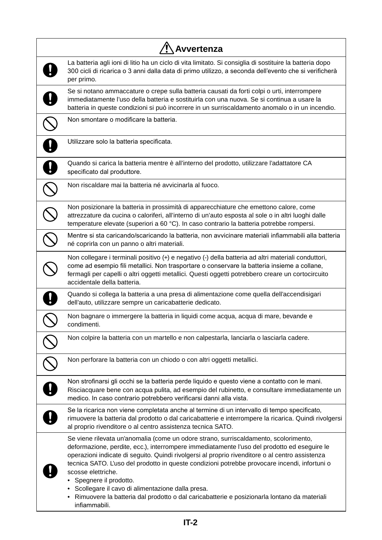| Avvertenza                                                                                                                                                                                                                                                                                                                                                                                                                                                                                                                                                                                                 |  |
|------------------------------------------------------------------------------------------------------------------------------------------------------------------------------------------------------------------------------------------------------------------------------------------------------------------------------------------------------------------------------------------------------------------------------------------------------------------------------------------------------------------------------------------------------------------------------------------------------------|--|
| La batteria agli ioni di litio ha un ciclo di vita limitato. Si consiglia di sostituire la batteria dopo<br>300 cicli di ricarica o 3 anni dalla data di primo utilizzo, a seconda dell'evento che si verificherà<br>per primo.                                                                                                                                                                                                                                                                                                                                                                            |  |
| Se si notano ammaccature o crepe sulla batteria causati da forti colpi o urti, interrompere<br>immediatamente l'uso della batteria e sostituirla con una nuova. Se si continua a usare la<br>batteria in queste condizioni si può incorrere in un surriscaldamento anomalo o in un incendio.                                                                                                                                                                                                                                                                                                               |  |
| Non smontare o modificare la batteria.                                                                                                                                                                                                                                                                                                                                                                                                                                                                                                                                                                     |  |
| Utilizzare solo la batteria specificata.                                                                                                                                                                                                                                                                                                                                                                                                                                                                                                                                                                   |  |
| Quando si carica la batteria mentre è all'interno del prodotto, utilizzare l'adattatore CA<br>specificato dal produttore.                                                                                                                                                                                                                                                                                                                                                                                                                                                                                  |  |
| Non riscaldare mai la batteria né avvicinarla al fuoco.                                                                                                                                                                                                                                                                                                                                                                                                                                                                                                                                                    |  |
| Non posizionare la batteria in prossimità di apparecchiature che emettono calore, come<br>attrezzature da cucina o caloriferi, all'interno di un'auto esposta al sole o in altri luoghi dalle<br>temperature elevate (superiori a 60 °C). In caso contrario la batteria potrebbe rompersi.                                                                                                                                                                                                                                                                                                                 |  |
| Mentre si sta caricando/scaricando la batteria, non avvicinare materiali infiammabili alla batteria<br>né coprirla con un panno o altri materiali.                                                                                                                                                                                                                                                                                                                                                                                                                                                         |  |
| Non collegare i terminali positivo (+) e negativo (-) della batteria ad altri materiali conduttori,<br>come ad esempio fili metallici. Non trasportare o conservare la batteria insieme a collane,<br>fermagli per capelli o altri oggetti metallici. Questi oggetti potrebbero creare un cortocircuito<br>accidentale della batteria.                                                                                                                                                                                                                                                                     |  |
| Quando si collega la batteria a una presa di alimentazione come quella dell'accendisigari<br>dell'auto, utilizzare sempre un caricabatterie dedicato.                                                                                                                                                                                                                                                                                                                                                                                                                                                      |  |
| Non bagnare o immergere la batteria in liquidi come acqua, acqua di mare, bevande e<br>condimenti.                                                                                                                                                                                                                                                                                                                                                                                                                                                                                                         |  |
| Non colpire la batteria con un martello e non calpestarla, lanciarla o lasciarla cadere.                                                                                                                                                                                                                                                                                                                                                                                                                                                                                                                   |  |
| Non perforare la batteria con un chiodo o con altri oggetti metallici.                                                                                                                                                                                                                                                                                                                                                                                                                                                                                                                                     |  |
| Non strofinarsi gli occhi se la batteria perde liquido e questo viene a contatto con le mani.<br>Risciacquare bene con acqua pulita, ad esempio del rubinetto, e consultare immediatamente un<br>medico. In caso contrario potrebbero verificarsi danni alla vista.                                                                                                                                                                                                                                                                                                                                        |  |
| Se la ricarica non viene completata anche al termine di un intervallo di tempo specificato,<br>rimuovere la batteria dal prodotto o dal caricabatterie e interrompere la ricarica. Quindi rivolgersi<br>al proprio rivenditore o al centro assistenza tecnica SATO.                                                                                                                                                                                                                                                                                                                                        |  |
| Se viene rilevata un'anomalia (come un odore strano, surriscaldamento, scolorimento,<br>deformazione, perdite, ecc.), interrompere immediatamente l'uso del prodotto ed eseguire le<br>operazioni indicate di seguito. Quindi rivolgersi al proprio rivenditore o al centro assistenza<br>tecnica SATO. L'uso del prodotto in queste condizioni potrebbe provocare incendi, infortuni o<br>scosse elettriche.<br>Spegnere il prodotto.<br>Scollegare il cavo di alimentazione dalla presa.<br>Rimuovere la batteria dal prodotto o dal caricabatterie e posizionarla lontano da materiali<br>infiammabili. |  |

 $\overline{\phantom{a}}$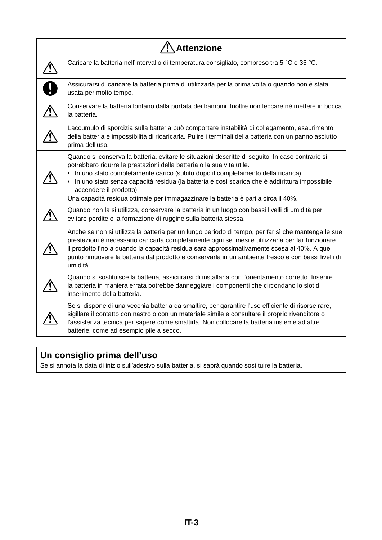| <b>Attenzione</b>                                                                                                                                                                                                                                                                                                                                                                                                                                                             |  |
|-------------------------------------------------------------------------------------------------------------------------------------------------------------------------------------------------------------------------------------------------------------------------------------------------------------------------------------------------------------------------------------------------------------------------------------------------------------------------------|--|
| Caricare la batteria nell'intervallo di temperatura consigliato, compreso tra 5 °C e 35 °C.                                                                                                                                                                                                                                                                                                                                                                                   |  |
| Assicurarsi di caricare la batteria prima di utilizzarla per la prima volta o quando non è stata<br>usata per molto tempo.                                                                                                                                                                                                                                                                                                                                                    |  |
| Conservare la batteria lontano dalla portata dei bambini. Inoltre non leccare né mettere in bocca<br>la batteria.                                                                                                                                                                                                                                                                                                                                                             |  |
| L'accumulo di sporcizia sulla batteria può comportare instabilità di collegamento, esaurimento<br>della batteria e impossibilità di ricaricarla. Pulire i terminali della batteria con un panno asciutto<br>prima dell'uso.                                                                                                                                                                                                                                                   |  |
| Quando si conserva la batteria, evitare le situazioni descritte di seguito. In caso contrario si<br>potrebbero ridurre le prestazioni della batteria o la sua vita utile.<br>In uno stato completamente carico (subito dopo il completamento della ricarica)<br>In uno stato senza capacità residua (la batteria è così scarica che è addirittura impossibile<br>accendere il prodotto)<br>Una capacità residua ottimale per immagazzinare la batteria è pari a circa il 40%. |  |
| Quando non la si utilizza, conservare la batteria in un luogo con bassi livelli di umidità per<br>evitare perdite o la formazione di ruggine sulla batteria stessa.                                                                                                                                                                                                                                                                                                           |  |
| Anche se non si utilizza la batteria per un lungo periodo di tempo, per far sì che mantenga le sue<br>prestazioni è necessario caricarla completamente ogni sei mesi e utilizzarla per far funzionare<br>il prodotto fino a quando la capacità residua sarà approssimativamente scesa al 40%. A quel<br>punto rimuovere la batteria dal prodotto e conservarla in un ambiente fresco e con bassi livelli di<br>umidità.                                                       |  |
| Quando si sostituisce la batteria, assicurarsi di installarla con l'orientamento corretto. Inserire<br>la batteria in maniera errata potrebbe danneggiare i componenti che circondano lo slot di<br>inserimento della batteria.                                                                                                                                                                                                                                               |  |
| Se si dispone di una vecchia batteria da smaltire, per garantire l'uso efficiente di risorse rare,<br>sigillare il contatto con nastro o con un materiale simile e consultare il proprio rivenditore o<br>l'assistenza tecnica per sapere come smaltirla. Non collocare la batteria insieme ad altre<br>batterie, come ad esempio pile a secco.                                                                                                                               |  |

## **Un consiglio prima dell'uso**

Se si annota la data di inizio sull'adesivo sulla batteria, si saprà quando sostituire la batteria.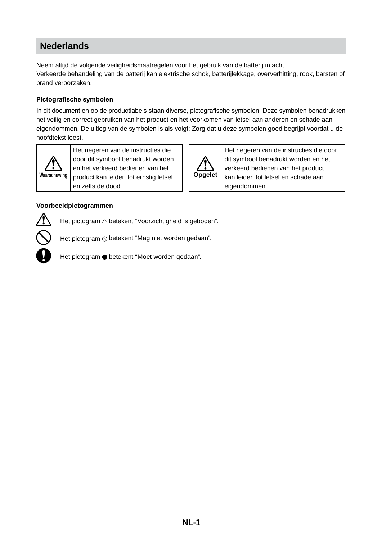## **Nederlands**

Neem altijd de volgende veiligheidsmaatregelen voor het gebruik van de batterij in acht. Verkeerde behandeling van de batterij kan elektrische schok, batterijlekkage, oververhitting, rook, barsten of brand veroorzaken.

#### **Pictografische symbolen**

In dit document en op de productlabels staan diverse, pictografische symbolen. Deze symbolen benadrukken het veilig en correct gebruiken van het product en het voorkomen van letsel aan anderen en schade aan eigendommen. De uitleg van de symbolen is als volgt: Zorg dat u deze symbolen goed begrijpt voordat u de hoofdtekst leest.



Het negeren van de instructies die door dit symbool benadrukt worden en het verkeerd bedienen van het product kan leiden tot ernstig letsel en zelfs de dood.



Het negeren van de instructies die door dit symbool benadrukt worden en het verkeerd bedienen van het product kan leiden tot letsel en schade aan eigendommen.

#### **Voorbeeldpictogrammen**



Het pictogram  $\triangle$  betekent "Voorzichtigheid is geboden".

Het pictogram  $\odot$  betekent "Mag niet worden gedaan".

Het pictogram ● betekent "Moet worden gedaan".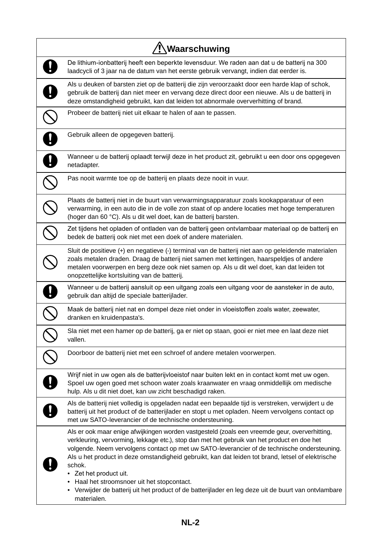| '!∖Waarschuwing                                                                                                                                                                                                                                                                                                                                                                                                                                                                                                                                                                                           |  |
|-----------------------------------------------------------------------------------------------------------------------------------------------------------------------------------------------------------------------------------------------------------------------------------------------------------------------------------------------------------------------------------------------------------------------------------------------------------------------------------------------------------------------------------------------------------------------------------------------------------|--|
| De lithium-ionbatterij heeft een beperkte levensduur. We raden aan dat u de batterij na 300<br>laadcycli of 3 jaar na de datum van het eerste gebruik vervangt, indien dat eerder is.                                                                                                                                                                                                                                                                                                                                                                                                                     |  |
| Als u deuken of barsten ziet op de batterij die zijn veroorzaakt door een harde klap of schok,<br>gebruik de batterij dan niet meer en vervang deze direct door een nieuwe. Als u de batterij in<br>deze omstandigheid gebruikt, kan dat leiden tot abnormale oververhitting of brand.                                                                                                                                                                                                                                                                                                                    |  |
| Probeer de batterij niet uit elkaar te halen of aan te passen.                                                                                                                                                                                                                                                                                                                                                                                                                                                                                                                                            |  |
| Gebruik alleen de opgegeven batterij.                                                                                                                                                                                                                                                                                                                                                                                                                                                                                                                                                                     |  |
| Wanneer u de batterij oplaadt terwijl deze in het product zit, gebruikt u een door ons opgegeven<br>netadapter.                                                                                                                                                                                                                                                                                                                                                                                                                                                                                           |  |
| Pas nooit warmte toe op de batterij en plaats deze nooit in vuur.                                                                                                                                                                                                                                                                                                                                                                                                                                                                                                                                         |  |
| Plaats de batterij niet in de buurt van verwarmingsapparatuur zoals kookapparatuur of een<br>verwarming, in een auto die in de volle zon staat of op andere locaties met hoge temperaturen<br>(hoger dan 60 °C). Als u dit wel doet, kan de batterij barsten.                                                                                                                                                                                                                                                                                                                                             |  |
| Zet tijdens het opladen of ontladen van de batterij geen ontvlambaar materiaal op de batterij en<br>bedek de batterij ook niet met een doek of andere materialen.                                                                                                                                                                                                                                                                                                                                                                                                                                         |  |
| Sluit de positieve (+) en negatieve (-) terminal van de batterij niet aan op geleidende materialen<br>zoals metalen draden. Draag de batterij niet samen met kettingen, haarspeldjes of andere<br>metalen voorwerpen en berg deze ook niet samen op. Als u dit wel doet, kan dat leiden tot<br>onopzettelijke kortsluiting van de batterij.                                                                                                                                                                                                                                                               |  |
| Wanneer u de batterij aansluit op een uitgang zoals een uitgang voor de aansteker in de auto,<br>gebruik dan altijd de speciale batterijlader.                                                                                                                                                                                                                                                                                                                                                                                                                                                            |  |
| Maak de batterij niet nat en dompel deze niet onder in vloeistoffen zoals water, zeewater,<br>dranken en kruidenpasta's.                                                                                                                                                                                                                                                                                                                                                                                                                                                                                  |  |
| Sla niet met een hamer op de batterij, ga er niet op staan, gooi er niet mee en laat deze niet<br>vallen.                                                                                                                                                                                                                                                                                                                                                                                                                                                                                                 |  |
| Doorboor de batterij niet met een schroef of andere metalen voorwerpen.                                                                                                                                                                                                                                                                                                                                                                                                                                                                                                                                   |  |
| Wrijf niet in uw ogen als de batterijvloeistof naar buiten lekt en in contact komt met uw ogen.<br>Spoel uw ogen goed met schoon water zoals kraanwater en vraag onmiddellijk om medische<br>hulp. Als u dit niet doet, kan uw zicht beschadigd raken.                                                                                                                                                                                                                                                                                                                                                    |  |
| Als de batterij niet volledig is opgeladen nadat een bepaalde tijd is verstreken, verwijdert u de<br>batterij uit het product of de batterijlader en stopt u met opladen. Neem vervolgens contact op<br>met uw SATO-leverancier of de technische ondersteuning.                                                                                                                                                                                                                                                                                                                                           |  |
| Als er ook maar enige afwijkingen worden vastgesteld (zoals een vreemde geur, oververhitting,<br>verkleuring, vervorming, lekkage etc.), stop dan met het gebruik van het product en doe het<br>volgende. Neem vervolgens contact op met uw SATO-leverancier of de technische ondersteuning.<br>Als u het product in deze omstandigheid gebruikt, kan dat leiden tot brand, letsel of elektrische<br>schok.<br>• Zet het product uit.<br>Haal het stroomsnoer uit het stopcontact.<br>• Verwijder de batterij uit het product of de batterijlader en leg deze uit de buurt van ontvlambare<br>materialen. |  |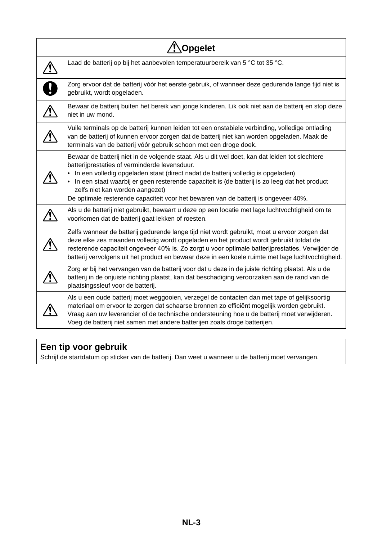| <b>Opgelet</b>                                                                                                                                                                                                                                                                                                                                                                                                                                                 |
|----------------------------------------------------------------------------------------------------------------------------------------------------------------------------------------------------------------------------------------------------------------------------------------------------------------------------------------------------------------------------------------------------------------------------------------------------------------|
| Laad de batterij op bij het aanbevolen temperatuurbereik van 5 °C tot 35 °C.                                                                                                                                                                                                                                                                                                                                                                                   |
| Zorg ervoor dat de batterij vóór het eerste gebruik, of wanneer deze gedurende lange tijd niet is<br>gebruikt, wordt opgeladen.                                                                                                                                                                                                                                                                                                                                |
| Bewaar de batterij buiten het bereik van jonge kinderen. Lik ook niet aan de batterij en stop deze<br>niet in uw mond.                                                                                                                                                                                                                                                                                                                                         |
| Vuile terminals op de batterij kunnen leiden tot een onstabiele verbinding, volledige ontlading<br>van de batterij of kunnen ervoor zorgen dat de batterij niet kan worden opgeladen. Maak de<br>terminals van de batterij vóór gebruik schoon met een droge doek.                                                                                                                                                                                             |
| Bewaar de batterij niet in de volgende staat. Als u dit wel doet, kan dat leiden tot slechtere<br>batterijprestaties of verminderde levensduur.<br>In een volledig opgeladen staat (direct nadat de batterij volledig is opgeladen)<br>In een staat waarbij er geen resterende capaciteit is (de batterij is zo leeg dat het product<br>zelfs niet kan worden aangezet)<br>De optimale resterende capaciteit voor het bewaren van de batterij is ongeveer 40%. |
| Als u de batterij niet gebruikt, bewaart u deze op een locatie met lage luchtvochtigheid om te<br>voorkomen dat de batterij gaat lekken of roesten.                                                                                                                                                                                                                                                                                                            |
| Zelfs wanneer de batterij gedurende lange tijd niet wordt gebruikt, moet u ervoor zorgen dat<br>deze elke zes maanden volledig wordt opgeladen en het product wordt gebruikt totdat de<br>resterende capaciteit ongeveer 40% is. Zo zorgt u voor optimale batterijprestaties. Verwijder de<br>batterij vervolgens uit het product en bewaar deze in een koele ruimte met lage luchtvochtigheid.                                                                |
| Zorg er bij het vervangen van de batterij voor dat u deze in de juiste richting plaatst. Als u de<br>batterij in de onjuiste richting plaatst, kan dat beschadiging veroorzaken aan de rand van de<br>plaatsingssleuf voor de batterij.                                                                                                                                                                                                                        |
| Als u een oude batterij moet weggooien, verzegel de contacten dan met tape of gelijksoortig<br>materiaal om ervoor te zorgen dat schaarse bronnen zo efficiënt mogelijk worden gebruikt.<br>Vraag aan uw leverancier of de technische ondersteuning hoe u de batterij moet verwijderen.<br>Voeg de batterij niet samen met andere batterijen zoals droge batterijen.                                                                                           |

## **Een tip voor gebruik**

Schrijf de startdatum op sticker van de batterij. Dan weet u wanneer u de batterij moet vervangen.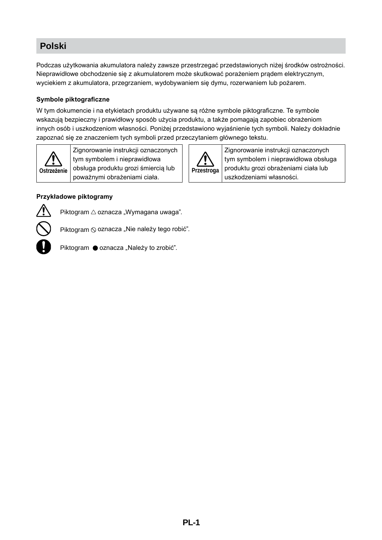## **Polski**

Podczas użytkowania akumulatora należy zawsze przestrzegać przedstawionych niżej środków ostrożności. Nieprawidłowe obchodzenie się z akumulatorem może skutkować porażeniem prądem elektrycznym, wyciekiem z akumulatora, przegrzaniem, wydobywaniem się dymu, rozerwaniem lub pożarem.

#### **Symbole piktograficzne**

W tym dokumencie i na etykietach produktu używane są różne symbole piktograficzne. Te symbole wskazują bezpieczny i prawidłowy sposób użycia produktu, a także pomagają zapobiec obrażeniom innych osób i uszkodzeniom własności. Poniżej przedstawiono wyjaśnienie tych symboli. Należy dokładnie zapoznać się ze znaczeniem tych symboli przed przeczytaniem głównego tekstu.

**Przestroga**

Zignorowanie instrukcji oznaczonych tym symbolem i nieprawidłowa obsługa produktu grozi obrażeniami ciała lub

uszkodzeniami własności.



Zignorowanie instrukcji oznaczonych tym symbolem i nieprawidłowa obsługa produktu grozi śmiercią lub poważnymi obrażeniami ciała.





Piktogram  $\triangle$  oznacza "Wymagana uwaga".

Piktogram  $\odot$  oznacza "Nie należy tego robić".



Piktogram  $\bullet$  oznacza "Należy to zrobić".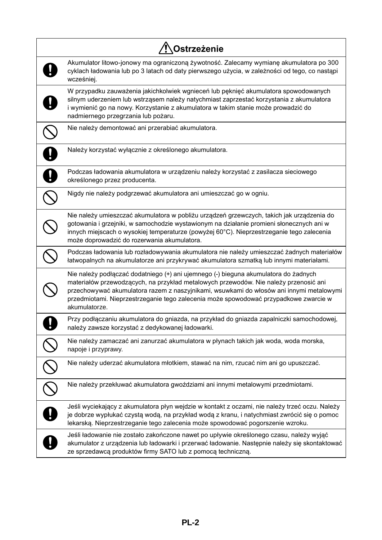| Ostrzeżenie                                                                                                                                                                                                                                                                                                                                                                     |  |
|---------------------------------------------------------------------------------------------------------------------------------------------------------------------------------------------------------------------------------------------------------------------------------------------------------------------------------------------------------------------------------|--|
| Akumulator litowo-jonowy ma ograniczoną żywotność. Zalecamy wymianę akumulatora po 300<br>cyklach ładowania lub po 3 latach od daty pierwszego użycia, w zależności od tego, co nastąpi<br>wcześniej.                                                                                                                                                                           |  |
| W przypadku zauważenia jakichkolwiek wgnieceń lub pęknięć akumulatora spowodowanych<br>silnym uderzeniem lub wstrząsem należy natychmiast zaprzestać korzystania z akumulatora<br>i wymienić go na nowy. Korzystanie z akumulatora w takim stanie może prowadzić do<br>nadmiernego przegrzania lub pożaru.                                                                      |  |
| Nie należy demontować ani przerabiać akumulatora.                                                                                                                                                                                                                                                                                                                               |  |
| Należy korzystać wyłącznie z określonego akumulatora.                                                                                                                                                                                                                                                                                                                           |  |
| Podczas ładowania akumulatora w urządzeniu należy korzystać z zasilacza sieciowego<br>określonego przez producenta.                                                                                                                                                                                                                                                             |  |
| Nigdy nie należy podgrzewać akumulatora ani umieszczać go w ogniu.                                                                                                                                                                                                                                                                                                              |  |
| Nie należy umieszczać akumulatora w pobliżu urządzeń grzewczych, takich jak urządzenia do<br>gotowania i grzejniki, w samochodzie wystawionym na działanie promieni słonecznych ani w<br>innych miejscach o wysokiej temperaturze (powyżej 60°C). Nieprzestrzeganie tego zalecenia<br>może doprowadzić do rozerwania akumulatora.                                               |  |
| Podczas ładowania lub rozładowywania akumulatora nie należy umieszczać żadnych materiałów<br>łatwopalnych na akumulatorze ani przykrywać akumulatora szmatką lub innymi materiałami.                                                                                                                                                                                            |  |
| Nie należy podłączać dodatniego (+) ani ujemnego (-) bieguna akumulatora do żadnych<br>materiałów przewodzących, na przykład metalowych przewodów. Nie należy przenosić ani<br>przechowywać akumulatora razem z naszyjnikami, wsuwkami do włosów ani innymi metalowymi<br>przedmiotami. Nieprzestrzeganie tego zalecenia może spowodować przypadkowe zwarcie w<br>akumulatorze. |  |
| Przy podłączaniu akumulatora do gniazda, na przykład do gniazda zapalniczki samochodowej,<br>należy zawsze korzystać z dedykowanej ładowarki.                                                                                                                                                                                                                                   |  |
| Nie należy zamaczać ani zanurzać akumulatora w płynach takich jak woda, woda morska,<br>napoje i przyprawy.                                                                                                                                                                                                                                                                     |  |
| Nie należy uderzać akumulatora młotkiem, stawać na nim, rzucać nim ani go upuszczać.                                                                                                                                                                                                                                                                                            |  |
| Nie należy przekłuwać akumulatora gwoździami ani innymi metalowymi przedmiotami.                                                                                                                                                                                                                                                                                                |  |
| Jeśli wyciekający z akumulatora płyn wejdzie w kontakt z oczami, nie należy trzeć oczu. Należy<br>je dobrze wypłukać czystą wodą, na przykład wodą z kranu, i natychmiast zwrócić się o pomoc<br>lekarską. Nieprzestrzeganie tego zalecenia może spowodować pogorszenie wzroku.                                                                                                 |  |
| Jeśli ładowanie nie zostało zakończone nawet po upływie określonego czasu, należy wyjąć<br>akumulator z urządzenia lub ładowarki i przerwać ładowanie. Następnie należy się skontaktować<br>ze sprzedawcą produktów firmy SATO lub z pomocą techniczną.                                                                                                                         |  |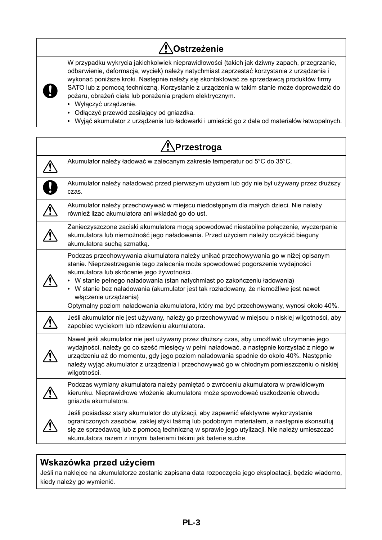# **Ostrzeżenie**

W przypadku wykrycia jakichkolwiek nieprawidłowości (takich jak dziwny zapach, przegrzanie, odbarwienie, deformacja, wyciek) należy natychmiast zaprzestać korzystania z urządzenia i wykonać poniższe kroki. Następnie należy się skontaktować ze sprzedawcą produktów firmy SATO lub z pomocą techniczną. Korzystanie z urządzenia w takim stanie może doprowadzić do pożaru, obrażeń ciała lub porażenia prądem elektrycznym.



- Wyłączyć urządzenie.
- Odłączyć przewód zasilający od gniazdka.
- Wyjąć akumulator z urządzenia lub ładowarki i umieścić go z dala od materiałów łatwopalnych.

| '!∖Przestroga                                                                                                                                                                                                                                                                                                                                                                                                                                                                                                   |
|-----------------------------------------------------------------------------------------------------------------------------------------------------------------------------------------------------------------------------------------------------------------------------------------------------------------------------------------------------------------------------------------------------------------------------------------------------------------------------------------------------------------|
| Akumulator należy ładować w zalecanym zakresie temperatur od 5°C do 35°C.                                                                                                                                                                                                                                                                                                                                                                                                                                       |
| Akumulator należy naładować przed pierwszym użyciem lub gdy nie był używany przez dłuższy<br>czas.                                                                                                                                                                                                                                                                                                                                                                                                              |
| Akumulator należy przechowywać w miejscu niedostępnym dla małych dzieci. Nie należy<br>również lizać akumulatora ani wkładać go do ust.                                                                                                                                                                                                                                                                                                                                                                         |
| Zanieczyszczone zaciski akumulatora mogą spowodować niestabilne połączenie, wyczerpanie<br>akumulatora lub niemożność jego naładowania. Przed użyciem należy oczyścić bieguny<br>akumulatora suchą szmatką.                                                                                                                                                                                                                                                                                                     |
| Podczas przechowywania akumulatora należy unikać przechowywania go w niżej opisanym<br>stanie. Nieprzestrzeganie tego zalecenia może spowodować pogorszenie wydajności<br>akumulatora lub skrócenie jego żywotności.<br>• W stanie pełnego naładowania (stan natychmiast po zakończeniu ładowania)<br>• W stanie bez naładowania (akumulator jest tak rozładowany, że niemożliwe jest nawet<br>włączenie urządzenia)<br>Optymalny poziom naładowania akumulatora, który ma być przechowywany, wynosi około 40%. |
| Jeśli akumulator nie jest używany, należy go przechowywać w miejscu o niskiej wilgotności, aby<br>zapobiec wyciekom lub rdzewieniu akumulatora.                                                                                                                                                                                                                                                                                                                                                                 |
| Nawet jeśli akumulator nie jest używany przez dłuższy czas, aby umożliwić utrzymanie jego<br>wydajności, należy go co sześć miesięcy w pełni naładować, a następnie korzystać z niego w<br>urządzeniu aż do momentu, gdy jego poziom naładowania spadnie do około 40%. Następnie<br>należy wyjąć akumulator z urządzenia i przechowywać go w chłodnym pomieszczeniu o niskiej<br>wilgotności.                                                                                                                   |
| Podczas wymiany akumulatora należy pamiętać o zwróceniu akumulatora w prawidłowym<br>kierunku. Nieprawidłowe włożenie akumulatora może spowodować uszkodzenie obwodu<br>gniazda akumulatora.                                                                                                                                                                                                                                                                                                                    |
| Jeśli posiadasz stary akumulator do utylizacji, aby zapewnić efektywne wykorzystanie<br>ograniczonych zasobów, zaklej styki taśmą lub podobnym materiałem, a następnie skonsultuj<br>się ze sprzedawcą lub z pomocą techniczną w sprawie jego utylizacji. Nie należy umieszczać<br>akumulatora razem z innymi bateriami takimi jak baterie suche.                                                                                                                                                               |

## **Wskazówka przed użyciem**

Jeśli na naklejce na akumulatorze zostanie zapisana data rozpoczęcia jego eksploatacji, będzie wiadomo, kiedy należy go wymienić.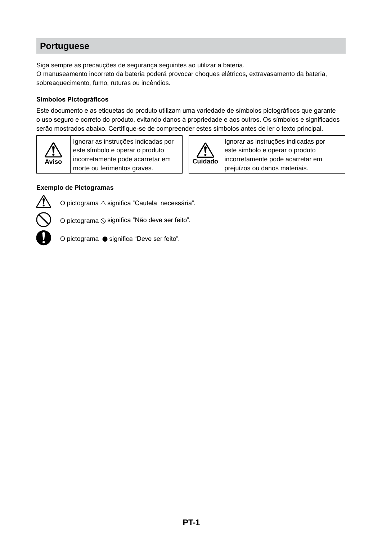## **Portuguese**

Siga sempre as precauções de segurança seguintes ao utilizar a bateria.

O manuseamento incorreto da bateria poderá provocar choques elétricos, extravasamento da bateria, sobreaquecimento, fumo, ruturas ou incêndios.

#### **Símbolos Pictográficos**

Este documento e as etiquetas do produto utilizam uma variedade de símbolos pictográficos que garante o uso seguro e correto do produto, evitando danos à propriedade e aos outros. Os símbolos e significados serão mostrados abaixo. Certifique-se de compreender estes símbolos antes de ler o texto principal.



Ignorar as instruções indicadas por este símbolo e operar o produto incorretamente pode acarretar em morte ou ferimentos graves.



Ignorar as instruções indicadas por este símbolo e operar o produto incorretamente pode acarretar em prejuízos ou danos materiais.

#### **Exemplo de Pictogramas**



O pictograma  $\triangle$  significa "Cautela necessária".

O pictograma  $\odot$  significa "Não deve ser feito".

O pictograma  $\bullet$  significa "Deve ser feito".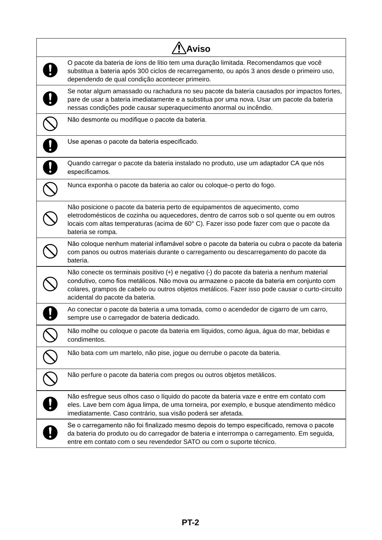| <b>Aviso</b> |                                                                                                                                                                                                                                                                                                                               |
|--------------|-------------------------------------------------------------------------------------------------------------------------------------------------------------------------------------------------------------------------------------------------------------------------------------------------------------------------------|
|              | O pacote da bateria de íons de lítio tem uma duração limitada. Recomendamos que você<br>substitua a bateria após 300 ciclos de recarregamento, ou após 3 anos desde o primeiro uso,<br>dependendo de qual condição acontecer primeiro.                                                                                        |
|              | Se notar algum amassado ou rachadura no seu pacote da bateria causados por impactos fortes,<br>pare de usar a bateria imediatamente e a substitua por uma nova. Usar um pacote da bateria<br>nessas condições pode causar superaquecimento anormal ou incêndio.                                                               |
|              | Não desmonte ou modifique o pacote da bateria.                                                                                                                                                                                                                                                                                |
|              | Use apenas o pacote da bateria especificado.                                                                                                                                                                                                                                                                                  |
|              | Quando carregar o pacote da bateria instalado no produto, use um adaptador CA que nós<br>especificamos.                                                                                                                                                                                                                       |
|              | Nunca exponha o pacote da bateria ao calor ou coloque-o perto do fogo.                                                                                                                                                                                                                                                        |
|              | Não posicione o pacote da bateria perto de equipamentos de aquecimento, como<br>eletrodomésticos de cozinha ou aquecedores, dentro de carros sob o sol quente ou em outros<br>locais com altas temperaturas (acima de 60°C). Fazer isso pode fazer com que o pacote da<br>bateria se rompa.                                   |
|              | Não coloque nenhum material inflamável sobre o pacote da bateria ou cubra o pacote da bateria<br>com panos ou outros materiais durante o carregamento ou descarregamento do pacote da<br>bateria.                                                                                                                             |
|              | Não conecte os terminais positivo (+) e negativo (-) do pacote da bateria a nenhum material<br>condutivo, como fios metálicos. Não mova ou armazene o pacote da bateria em conjunto com<br>colares, grampos de cabelo ou outros objetos metálicos. Fazer isso pode causar o curto-circuito<br>acidental do pacote da bateria. |
|              | Ao conectar o pacote da bateria a uma tomada, como o acendedor de cigarro de um carro,<br>sempre use o carregador de bateria dedicado.                                                                                                                                                                                        |
|              | Não molhe ou coloque o pacote da bateria em líquidos, como água, água do mar, bebidas e<br>condimentos.                                                                                                                                                                                                                       |
|              | Não bata com um martelo, não pise, jogue ou derrube o pacote da bateria.                                                                                                                                                                                                                                                      |
|              | Não perfure o pacote da bateria com pregos ou outros objetos metálicos.                                                                                                                                                                                                                                                       |
|              | Não esfregue seus olhos caso o líquido do pacote da bateria vaze e entre em contato com<br>eles. Lave bem com água limpa, de uma torneira, por exemplo, e busque atendimento médico<br>imediatamente. Caso contrário, sua visão poderá ser afetada.                                                                           |
|              | Se o carregamento não foi finalizado mesmo depois do tempo especificado, remova o pacote<br>da bateria do produto ou do carregador de bateria e interrompa o carregamento. Em seguida,<br>entre em contato com o seu revendedor SATO ou com o suporte técnico.                                                                |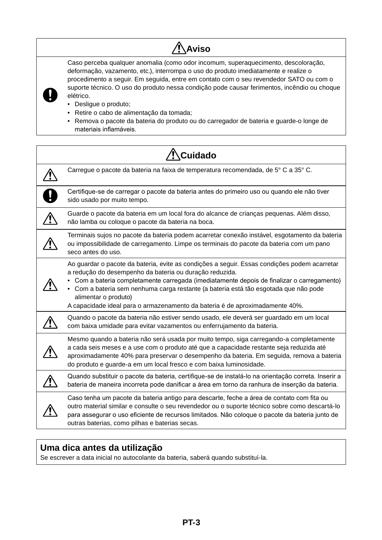# **Aviso**

Caso perceba qualquer anomalia (como odor incomum, superaquecimento, descoloração, deformação, vazamento, etc.), interrompa o uso do produto imediatamente e realize o procedimento a seguir. Em seguida, entre em contato com o seu revendedor SATO ou com o suporte técnico. O uso do produto nessa condição pode causar ferimentos, incêndio ou choque elétrico.

• Desligue o produto;

**V** 

- Retire o cabo de alimentação da tomada;
- Remova o pacote da bateria do produto ou do carregador de bateria e guarde-o longe de materiais inflamáveis.

| Cuidado                                                                                                                                                                                                                                                                                                                                                                                                                                               |
|-------------------------------------------------------------------------------------------------------------------------------------------------------------------------------------------------------------------------------------------------------------------------------------------------------------------------------------------------------------------------------------------------------------------------------------------------------|
| Carregue o pacote da bateria na faixa de temperatura recomendada, de 5° C a 35° C.                                                                                                                                                                                                                                                                                                                                                                    |
| Certifique-se de carregar o pacote da bateria antes do primeiro uso ou quando ele não tiver<br>sido usado por muito tempo.                                                                                                                                                                                                                                                                                                                            |
| Guarde o pacote da bateria em um local fora do alcance de crianças pequenas. Além disso,<br>não lamba ou coloque o pacote da bateria na boca.                                                                                                                                                                                                                                                                                                         |
| Terminais sujos no pacote da bateria podem acarretar conexão instável, esgotamento da bateria<br>ou impossibilidade de carregamento. Limpe os terminais do pacote da bateria com um pano<br>seco antes do uso.                                                                                                                                                                                                                                        |
| Ao guardar o pacote da bateria, evite as condições a seguir. Essas condições podem acarretar<br>a redução do desempenho da bateria ou duração reduzida.<br>• Com a bateria completamente carregada (imediatamente depois de finalizar o carregamento)<br>• Com a bateria sem nenhuma carga restante (a bateria está tão esgotada que não pode<br>alimentar o produto)<br>A capacidade ideal para o armazenamento da bateria é de aproximadamente 40%. |
| Quando o pacote da bateria não estiver sendo usado, ele deverá ser guardado em um local<br>com baixa umidade para evitar vazamentos ou enferrujamento da bateria.                                                                                                                                                                                                                                                                                     |
| Mesmo quando a bateria não será usada por muito tempo, siga carregando-a completamente<br>a cada seis meses e a use com o produto até que a capacidade restante seja reduzida até<br>aproximadamente 40% para preservar o desempenho da bateria. Em seguida, remova a bateria<br>do produto e guarde-a em um local fresco e com baixa luminosidade.                                                                                                   |
| Quando substituir o pacote da bateria, certifique-se de instalá-lo na orientação correta. Inserir a<br>bateria de maneira incorreta pode danificar a área em torno da ranhura de inserção da bateria.                                                                                                                                                                                                                                                 |
| Caso tenha um pacote da bateria antigo para descarte, feche a área de contato com fita ou<br>outro material similar e consulte o seu revendedor ou o suporte técnico sobre como descartá-lo<br>para assegurar o uso eficiente de recursos limitados. Não coloque o pacote da bateria junto de<br>outras baterias, como pilhas e baterias secas.                                                                                                       |

### **Uma dica antes da utilização**

Se escrever a data inicial no autocolante da bateria, saberá quando substituí-la.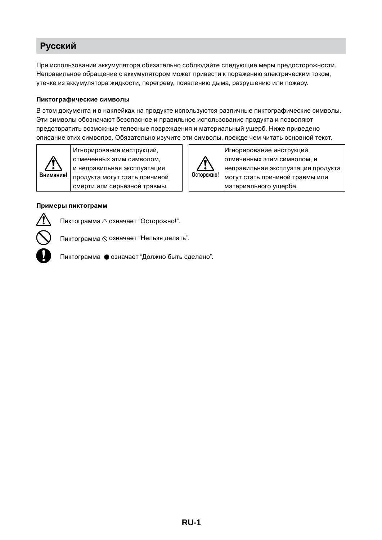# **Русский**

При использовании аккумулятора обязательно соблюдайте следующие меры предосторожности. Неправильное обращение с аккумулятором может привести к поражению электрическим током, утечке из аккумулятора жидкости, перегреву, появлению дыма, разрушению или пожару.

#### **Пиктографические символы**

В этом документа и в наклейках на продукте используются различные пиктографические символы. Эти символы обозначают безопасное и правильное использование продукта и позволяют предотвратить возможные телесные повреждения и материальный ущерб. Ниже приведено описание этих символов. Обязательно изучите эти символы, прежде чем читать основной текст.

**Осторожно!**

Игнорирование инструкций, отмеченных этим символом, и

материального ущерба.

неправильная эксплуатация продукта могут стать причиной травмы или



Игнорирование инструкций, отмеченных этим символом, и неправильная эксплуатация продукта могут стать причиной смерти или серьезной травмы.

#### **Примеры пиктограмм**



Пиктограмма  $\triangle$  означает "Осторожно!".

Пиктограмма ⊗ означает "Нельзя делать".

Пиктограмма • означает "Должно быть сделано".

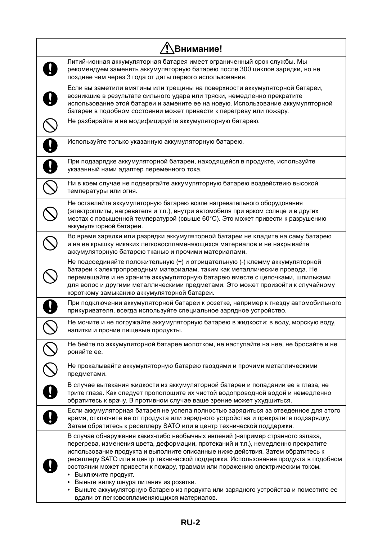| <b>Внимание!</b>                                                                                                                                                                                                                                                                                                                                                                                                                                                                                                                                                                                                                  |
|-----------------------------------------------------------------------------------------------------------------------------------------------------------------------------------------------------------------------------------------------------------------------------------------------------------------------------------------------------------------------------------------------------------------------------------------------------------------------------------------------------------------------------------------------------------------------------------------------------------------------------------|
| Литий-ионная аккумуляторная батарея имеет ограниченный срок службы. Мы<br>рекомендуем заменять аккумуляторную батарею после 300 циклов зарядки, но не<br>позднее чем через 3 года от даты первого использования.                                                                                                                                                                                                                                                                                                                                                                                                                  |
| Если вы заметили вмятины или трещины на поверхности аккумуляторной батареи,<br>возникшие в результате сильного удара или тряски, немедленно прекратите<br>использование этой батареи и замените ее на новую. Использование аккумуляторной<br>батареи в подобном состоянии может привести к перегреву или пожару.                                                                                                                                                                                                                                                                                                                  |
| Не разбирайте и не модифицируйте аккумуляторную батарею.                                                                                                                                                                                                                                                                                                                                                                                                                                                                                                                                                                          |
| Используйте только указанную аккумуляторную батарею.                                                                                                                                                                                                                                                                                                                                                                                                                                                                                                                                                                              |
| При подзарядке аккумуляторной батареи, находящейся в продукте, используйте<br>указанный нами адаптер переменного тока.                                                                                                                                                                                                                                                                                                                                                                                                                                                                                                            |
| Ни в коем случае не подвергайте аккумуляторную батарею воздействию высокой<br>температуры или огня.                                                                                                                                                                                                                                                                                                                                                                                                                                                                                                                               |
| Не оставляйте аккумуляторную батарею возле нагревательного оборудования<br>(электроплиты, нагревателя и т.п.), внутри автомобиля при ярком солнце и в других<br>местах с повышенной температурой (свыше 60°С). Это может привести к разрушению<br>аккумуляторной батареи.                                                                                                                                                                                                                                                                                                                                                         |
| Во время зарядки или разрядки аккумуляторной батареи не кладите на саму батарею<br>и на ее крышку никаких легковоспламеняющихся материалов и не накрывайте<br>аккумуляторную батарею тканью и прочими материалами.                                                                                                                                                                                                                                                                                                                                                                                                                |
| Не подсоединяйте положительную (+) и отрицательную (-) клемму аккумуляторной<br>батареи к электропроводным материалам, таким как металлические провода. Не<br>перемещайте и не храните аккумуляторную батарею вместе с цепочками, шпильками<br>для волос и другими металлическими предметами. Это может произойти к случайному<br>короткому замыканию аккумуляторной батареи.                                                                                                                                                                                                                                                     |
| При подключении аккумуляторной батареи к розетке, например к гнезду автомобильного<br>прикуривателя, всегда используйте специальное зарядное устройство.                                                                                                                                                                                                                                                                                                                                                                                                                                                                          |
| Не мочите и не погружайте аккумуляторную батарею в жидкости: в воду, морскую воду,<br>напитки и прочие пищевые продукты.                                                                                                                                                                                                                                                                                                                                                                                                                                                                                                          |
| Не бейте по аккумуляторной батарее молотком, не наступайте на нее, не бросайте и не<br>роняйте ее.                                                                                                                                                                                                                                                                                                                                                                                                                                                                                                                                |
| Не прокалывайте аккумуляторную батарею гвоздями и прочими металлическими<br>предметами.                                                                                                                                                                                                                                                                                                                                                                                                                                                                                                                                           |
| В случае вытекания жидкости из аккумуляторной батареи и попадании ее в глаза, не<br>трите глаза. Как следует прополощите их чистой водопроводной водой и немедленно<br>обратитесь к врачу. В противном случае ваше зрение может ухудшиться.                                                                                                                                                                                                                                                                                                                                                                                       |
| Если аккумуляторная батарея не успела полностью зарядиться за отведенное для этого<br>время, отключите ее от продукта или зарядного устройства и прекратите подзарядку.<br>Затем обратитесь к реселлеру SATO или в центр технической поддержки.                                                                                                                                                                                                                                                                                                                                                                                   |
| В случае обнаружения каких-либо необычных явлений (например странного запаха,<br>перегрева, изменения цвета, деформации, протеканий и т.п.), немедленно прекратите<br>использование продукта и выполните описанные ниже действия. Затем обратитесь к<br>реселлеру SATO или в центр технической поддержки. Использование продукта в подобном<br>состоянии может привести к пожару, травмам или поражению электрическим током.<br>• Выключите продукт.<br>Выньте вилку шнура питания из розетки.<br>Выньте аккумуляторную батарею из продукта или зарядного устройства и поместите ее<br>вдали от легковоспламеняющихся материалов. |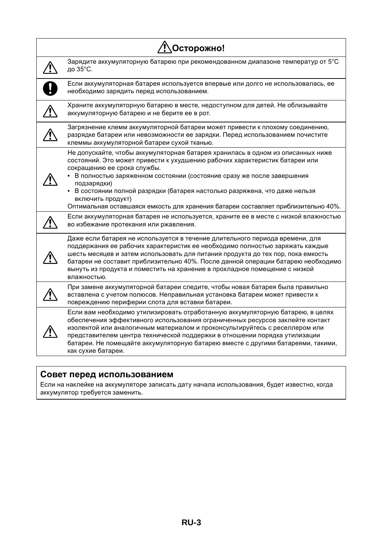| Осторожно! |                                                                                                                                                                                                                                                                                                                                                                                                                                                                                 |
|------------|---------------------------------------------------------------------------------------------------------------------------------------------------------------------------------------------------------------------------------------------------------------------------------------------------------------------------------------------------------------------------------------------------------------------------------------------------------------------------------|
|            | Зарядите аккумуляторную батарею при рекомендованном диапазоне температур от 5°С<br>до 35°С.                                                                                                                                                                                                                                                                                                                                                                                     |
|            | Если аккумуляторная батарея используется впервые или долго не использовалась, ее<br>необходимо зарядить перед использованием.                                                                                                                                                                                                                                                                                                                                                   |
|            | Храните аккумуляторную батарею в месте, недоступном для детей. Не облизывайте<br>аккумуляторную батарею и не берите ее в рот.                                                                                                                                                                                                                                                                                                                                                   |
|            | Загрязнение клемм аккумуляторной батареи может привести к плохому соединению,<br>разрядке батареи или невозможности ее зарядки. Перед использованием почистите<br>клеммы аккумуляторной батареи сухой тканью.                                                                                                                                                                                                                                                                   |
|            | Не допускайте, чтобы аккумуляторная батарея хранилась в одном из описанных ниже<br>состояний. Это может привести к ухудшению рабочих характеристик батареи или<br>сокращению ее срока службы.<br>В полностью заряженном состоянии (состояние сразу же после завершения<br>подзарядки)<br>• В состоянии полной разрядки (батарея настолько разряжена, что даже нельзя<br>включить продукт)<br>Оптимальная оставшаяся емкость для хранения батареи составляет приблизительно 40%. |
|            | Если аккумуляторная батарея не используется, храните ее в месте с низкой влажностью<br>во избежание протекания или ржавления.                                                                                                                                                                                                                                                                                                                                                   |
|            | Даже если батарея не используется в течение длительного периода времени, для<br>поддержания ее рабочих характеристик ее необходимо полностью заряжать каждые<br>шесть месяцев и затем использовать для питания продукта до тех пор, пока емкость<br>батареи не составит приблизительно 40%. После данной операции батарею необходимо<br>вынуть из продукта и поместить на хранение в прохладное помещение с низкой<br>влажностью.                                               |
|            | При замене аккумуляторной батареи следите, чтобы новая батарея была правильно<br>вставлена с учетом полюсов. Неправильная установка батареи может привести к<br>повреждению периферии слота для вставки батареи.                                                                                                                                                                                                                                                                |
|            | Если вам необходимо утилизировать отработанную аккумуляторную батарею, в целях<br>обеспечения эффективного использования ограниченных ресурсов заклейте контакт<br>изолентой или аналогичным материалом и проконсультируйтесь с реселлером или<br>представителем центра технической поддержки в отношении порядка утилизации<br>батареи. Не помещайте аккумуляторную батарею вместе с другими батареями, такими,<br>как сухие батареи.                                          |

# **Совет перед использованием**

Если на наклейке на аккумуляторе записать дату начала использования, будет известно, когда аккумулятор требуется заменить.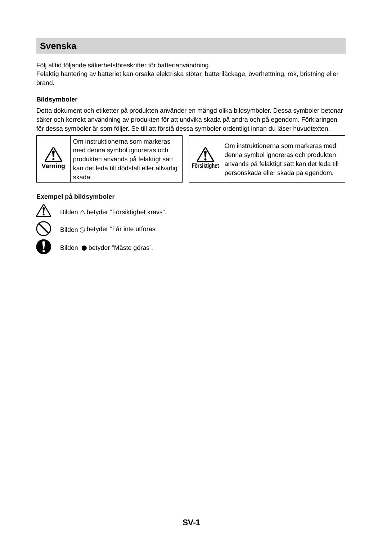## **Svenska**

Följ alltid följande säkerhetsföreskrifter för batterianvändning.

Felaktig hantering av batteriet kan orsaka elektriska stötar, batteriläckage, överhettning, rök, bristning eller brand.

#### **Bildsymboler**

Detta dokument och etiketter på produkten använder en mängd olika bildsymboler. Dessa symboler betonar säker och korrekt användning av produkten för att undvika skada på andra och på egendom. Förklaringen för dessa symboler är som följer. Se till att förstå dessa symboler ordentligt innan du läser huvudtexten.

**Försiktighet**

Ţ

Om instruktionerna som markeras med denna symbol ignoreras och produkten används på felaktigt sätt kan det leda till personskada eller skada på egendom.



Om instruktionerna som markeras med denna symbol ignoreras och produkten används på felaktigt sätt kan det leda till dödsfall eller allvarlig skada.

#### **Exempel på bildsymboler**



Bilden  $\triangle$  betyder "Försiktighet krävs".



Bilden  $\Diamond$  betyder "Får inte utföras".



Bilden betyder "Måste göras".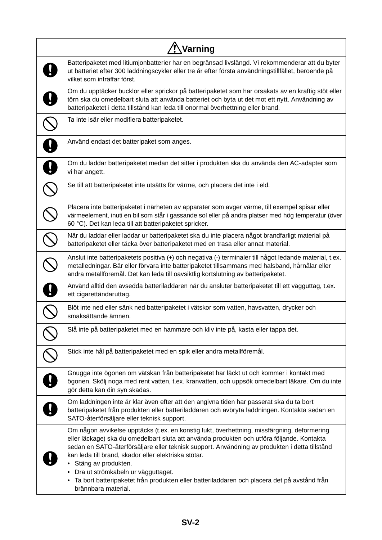| Varning                                                                                                                                                                                                                                                                                                                                                                                                                                                                                                                                     |  |
|---------------------------------------------------------------------------------------------------------------------------------------------------------------------------------------------------------------------------------------------------------------------------------------------------------------------------------------------------------------------------------------------------------------------------------------------------------------------------------------------------------------------------------------------|--|
| Batteripaketet med litiumjonbatterier har en begränsad livslängd. Vi rekommenderar att du byter<br>ut batteriet efter 300 laddningscykler eller tre år efter första användningstillfället, beroende på<br>vilket som inträffar först.                                                                                                                                                                                                                                                                                                       |  |
| Om du upptäcker bucklor eller sprickor på batteripaketet som har orsakats av en kraftig stöt eller<br>törn ska du omedelbart sluta att använda batteriet och byta ut det mot ett nytt. Användning av<br>batteripaketet i detta tillstånd kan leda till onormal överhettning eller brand.                                                                                                                                                                                                                                                    |  |
| Ta inte isär eller modifiera batteripaketet.                                                                                                                                                                                                                                                                                                                                                                                                                                                                                                |  |
| Använd endast det batteripaket som anges.                                                                                                                                                                                                                                                                                                                                                                                                                                                                                                   |  |
| Om du laddar batteripaketet medan det sitter i produkten ska du använda den AC-adapter som<br>vi har angett.                                                                                                                                                                                                                                                                                                                                                                                                                                |  |
| Se till att batteripaketet inte utsätts för värme, och placera det inte i eld.                                                                                                                                                                                                                                                                                                                                                                                                                                                              |  |
| Placera inte batteripaketet i närheten av apparater som avger värme, till exempel spisar eller<br>värmeelement, inuti en bil som står i gassande sol eller på andra platser med hög temperatur (över<br>60 °C). Det kan leda till att batteripaketet spricker.                                                                                                                                                                                                                                                                              |  |
| När du laddar eller laddar ur batteripaketet ska du inte placera något brandfarligt material på<br>batteripaketet eller täcka över batteripaketet med en trasa eller annat material.                                                                                                                                                                                                                                                                                                                                                        |  |
| Anslut inte batteripaketets positiva (+) och negativa (-) terminaler till något ledande material, t.ex.<br>metalledningar. Bär eller förvara inte batteripaketet tillsammans med halsband, hårnålar eller<br>andra metallföremål. Det kan leda till oavsiktlig kortslutning av batteripaketet.                                                                                                                                                                                                                                              |  |
| Använd alltid den avsedda batteriladdaren när du ansluter batteripaketet till ett vägguttag, t.ex.<br>ett cigarettändaruttag.                                                                                                                                                                                                                                                                                                                                                                                                               |  |
| Blöt inte ned eller sänk ned batteripaketet i vätskor som vatten, havsvatten, drycker och<br>smaksättande ämnen.                                                                                                                                                                                                                                                                                                                                                                                                                            |  |
| Slå inte på batteripaketet med en hammare och kliv inte på, kasta eller tappa det.                                                                                                                                                                                                                                                                                                                                                                                                                                                          |  |
| Stick inte hål på batteripaketet med en spik eller andra metallföremål.                                                                                                                                                                                                                                                                                                                                                                                                                                                                     |  |
| Gnugga inte ögonen om vätskan från batteripaketet har läckt ut och kommer i kontakt med<br>ögonen. Skölj noga med rent vatten, t.ex. kranvatten, och uppsök omedelbart läkare. Om du inte<br>gör detta kan din syn skadas.                                                                                                                                                                                                                                                                                                                  |  |
| Om laddningen inte är klar även efter att den angivna tiden har passerat ska du ta bort<br>batteripaketet från produkten eller batteriladdaren och avbryta laddningen. Kontakta sedan en<br>SATO-återförsäljare eller teknisk support.                                                                                                                                                                                                                                                                                                      |  |
| Om någon avvikelse upptäcks (t.ex. en konstig lukt, överhettning, missfärgning, deformering<br>eller läckage) ska du omedelbart sluta att använda produkten och utföra följande. Kontakta<br>sedan en SATO-återförsäljare eller teknisk support. Användning av produkten i detta tillstånd<br>kan leda till brand, skador eller elektriska stötar.<br>• Stäng av produkten.<br>• Dra ut strömkabeln ur vägguttaget.<br>· Ta bort batteripaketet från produkten eller batteriladdaren och placera det på avstånd från<br>brännbara material. |  |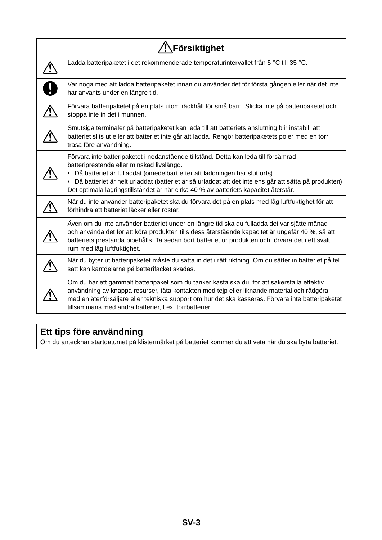| Försiktighet                                                                                                                                                                                                                                                                                                                                                                                                  |
|---------------------------------------------------------------------------------------------------------------------------------------------------------------------------------------------------------------------------------------------------------------------------------------------------------------------------------------------------------------------------------------------------------------|
| Ladda batteripaketet i det rekommenderade temperaturintervallet från 5 °C till 35 °C.                                                                                                                                                                                                                                                                                                                         |
| Var noga med att ladda batteripaketet innan du använder det för första gången eller när det inte<br>har använts under en längre tid.                                                                                                                                                                                                                                                                          |
| Förvara batteripaketet på en plats utom räckhåll för små barn. Slicka inte på batteripaketet och<br>stoppa inte in det i munnen.                                                                                                                                                                                                                                                                              |
| Smutsiga terminaler på batteripaketet kan leda till att batteriets anslutning blir instabil, att<br>batteriet slits ut eller att batteriet inte går att ladda. Rengör batteripaketets poler med en torr<br>trasa före användning.                                                                                                                                                                             |
| Förvara inte batteripaketet i nedanstående tillstånd. Detta kan leda till försämrad<br>batteriprestanda eller minskad livslängd.<br>Då batteriet är fulladdat (omedelbart efter att laddningen har slutförts)<br>Då batteriet är helt urladdat (batteriet är så urladdat att det inte ens går att sätta på produkten)<br>Det optimala lagringstillståndet är när cirka 40 % av batteriets kapacitet återstår. |
| När du inte använder batteripaketet ska du förvara det på en plats med låg luftfuktighet för att<br>förhindra att batteriet läcker eller rostar.                                                                                                                                                                                                                                                              |
| Även om du inte använder batteriet under en längre tid ska du fulladda det var sjätte månad<br>och använda det för att köra produkten tills dess återstående kapacitet är ungefär 40 %, så att<br>batteriets prestanda bibehålls. Ta sedan bort batteriet ur produkten och förvara det i ett svalt<br>rum med låg luftfuktighet.                                                                              |
| När du byter ut batteripaketet måste du sätta in det i rätt riktning. Om du sätter in batteriet på fel<br>sätt kan kantdelarna på batterifacket skadas.                                                                                                                                                                                                                                                       |
| Om du har ett gammalt batteripaket som du tänker kasta ska du, för att säkerställa effektiv<br>användning av knappa resurser, täta kontakten med tejp eller liknande material och rådgöra<br>med en återförsäljare eller tekniska support om hur det ska kasseras. Förvara inte batteripaketet<br>tillsammans med andra batterier, t.ex. torrbatterier.                                                       |

# **Ett tips före användning**

Om du antecknar startdatumet på klistermärket på batteriet kommer du att veta när du ska byta batteriet.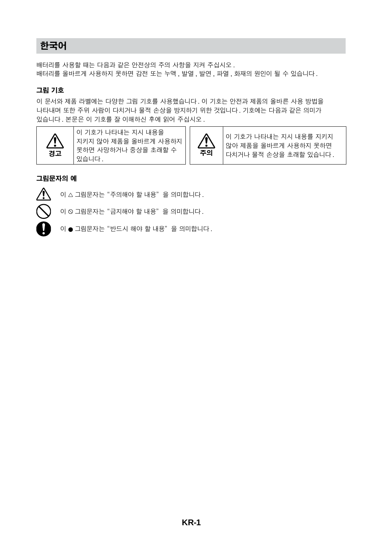# 한국어

배터리를 사용할 때는 다음과 같은 안전상의 주의 사항을 지켜 주십시오 . 배터리를 올바르게 사용하지 못하면 감전 또는 누액 , 발열 , 발연 , 파열 , 화재의 원인이 될 수 있습니다 .

#### 그림 기호

이 문서와 제품 라벨에는 다양한 그림 기호를 사용했습니다 . 이 기호는 안전과 제품의 올바른 사용 방법을 나타내며 또한 주위 사람이 다치거나 물적 손상을 방지하기 위한 것입니다 . 기호에는 다음과 같은 의미가 있습니다 . 본문은 이 기호를 잘 이해하신 후에 읽어 주십시오 .



이 기호가 나타내는 지시 내용을 지키지 않아 제품을 올바르게 사용하지 못하면 사망하거나 중상을 초래할 수  $\begin{bmatrix} \left| \right| & \overline{\bullet} \mathbf{9} \ \text{MeV} & \text{MeV} \end{bmatrix}$ 



이 기호가 나타내는 지시 내용를 지키지 않아 제품을 올바르게 사용하지 못하면 다치거나 물적 손상을 초래할 있습니다 .

#### 그림문자의 예



 $0 \wedge 2$  크림문자는 "주의해야 할 내용"을 의미합니다.

 $0 \in \mathbb{R}$  그림문자는 "금지해야 할 내용"을 의미합니다.



이 ● 그림문자는 "반드시 해야 할 내용"을 의미합니다.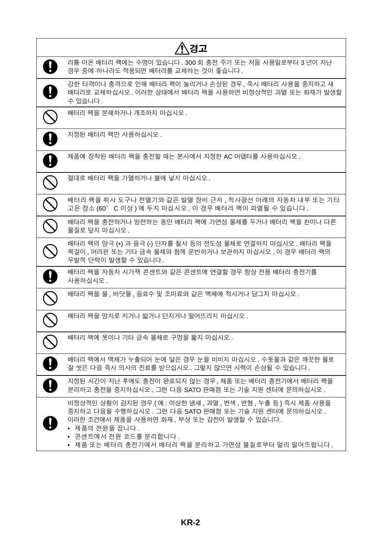| /!\경고                                                                                                                                                                                                                                                                      |
|----------------------------------------------------------------------------------------------------------------------------------------------------------------------------------------------------------------------------------------------------------------------------|
| 리튬 이온 배터리 팩에는 수명이 있습니다. 300 회 충전 주기 또는 처음 사용일로부터 3 년이 지난<br>경우 중에 하나라도 적용되면 배터리를 교체하는 것이 좋습니다.                                                                                                                                                                             |
| 강한 타격이나 충격으로 인해 배터리 팩이 눌리거나 손상된 경우, 즉시 배터리 사용을 중지하고 새<br>배터리로 교체하십시오. 이러한 상태에서 배터리 팩을 사용하면 비정상적인 과열 또는 화재가 발생할<br>수 있습니다.                                                                                                                                                  |
| 배터리 팩을 분해하거나 개조하지 마십시오.                                                                                                                                                                                                                                                    |
| 지정된 배터리 팩만 사용하십시오.                                                                                                                                                                                                                                                         |
| 제품에 장착된 배터리 팩을 충전할 때는 본사에서 지정한 AC 어댑터를 사용하십시오 .                                                                                                                                                                                                                            |
| 절대로 배터리 팩을 가열하거나 불에 넣지 마십시오.                                                                                                                                                                                                                                               |
| 배터리 팩을 취사 도구나 전열기와 같은 발열 장비 근처 , 직사광선 아래의 자동차 내부 또는 기타<br>고온 장소 (60° C 이상 ) 에 두지 마십시오 . 이 경우 배터리 팩이 파열될 수 있습니다.                                                                                                                                                            |
| 배터리 팩을 충전하거나 방전하는 동안 배터리 팩에 가연성 물체를 두거나 배터리 팩을 천이나 다른<br>물질로 덮지 마십시오.                                                                                                                                                                                                      |
| 배터리 팩의 양극 (+) 과 음극 (-) 단자를 철사 등의 전도성 물체로 연결하지 마십시오 . 배터리 팩을<br>목걸이 , 머리핀 또는 기타 금속 물체와 함께 운반하거나 보관하지 마십시오 . 이 경우 배터리 팩의<br>우발적 단락이 발생할 수 있습니다.                                                                                                                              |
| 배터리 팩을 자동차 시가잭 콘센트와 같은 콘센트에 연결할 경우 항상 전용 배터리 충전기를<br>사용하십시오.                                                                                                                                                                                                               |
| 배터리 팩을 물, 바닷물, 음료수 및 조미료와 같은 액체에 적시거나 담그지 마십시오 .                                                                                                                                                                                                                           |
| 배터리 팩을 망치로 치거나 밟거나 던지거나 떨어뜨리지 마십시오 .                                                                                                                                                                                                                                       |
| 배터리 팩에 못이나 기타 금속 물체로 구멍을 뚫지 마십시오.                                                                                                                                                                                                                                          |
| 배터리 팩에서 액체가 누출되어 눈에 닿은 경우 눈을 비비지 마십시오. 수돗물과 같은 깨끗한 물로<br>잘 씻은 다음 즉시 의사의 진료를 받으십시오 . 그렇지 않으면 시력이 손상될 수 있습니다 .                                                                                                                                                               |
| 지정된 시간이 지난 후에도 충전이 완료되지 않는 경우, 제품 또는 배터리 충전기에서 배터리 팩을<br>분리하고 충전을 중지하십시오. 그런 다음 SATO 판매점 또는 기술 지원 센터에 문의하십시오.                                                                                                                                                              |
| 비정상적인 상황이 감지된 경우 (예 : 이상한 냄새 , 과열 , 변색 , 변형 , 누출 등 ) 즉시 제품 사용을<br>중지하고 다음을 수행하십시오 . 그런 다음 SATO 판매점 또는 기술 지원 센터에 문의하십시오 .<br>이러한 조건에서 제품을 사용하면 화재, 부상 또는 감전이 발생할 수 있습니다.<br>• 제품의 전원을 끕니다.<br>● 콘센트에서 전원 코드를 분리합니다 .<br>● 제품 또는 배터리 충전기에서 배터리 팩을 분리하고 가연성 물질로부터 멀리 떨어뜨립니다 . |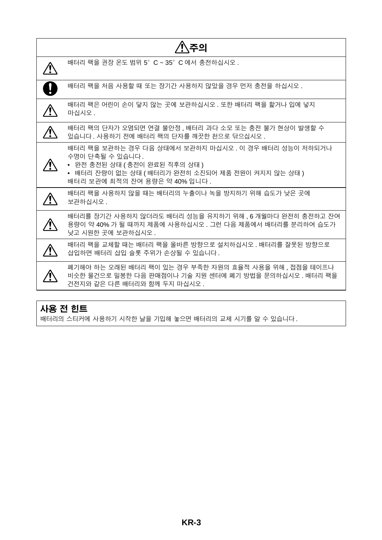| 주의 |                                                                                                                                                                                                   |  |
|----|---------------------------------------------------------------------------------------------------------------------------------------------------------------------------------------------------|--|
|    | 배터리 팩을 권장 온도 범위 5° C ~ 35° C 에서 충전하십시오.                                                                                                                                                           |  |
|    | 배터리 팩을 처음 사용할 때 또는 장기간 사용하지 않았을 경우 먼저 충전을 하십시오 .                                                                                                                                                  |  |
|    | 배터리 팩은 어린이 손이 닿지 않는 곳에 보관하십시오 . 또한 배터리 팩을 핥거나 입에 넣지<br>마십시오.                                                                                                                                      |  |
|    | 배터리 팩의 단자가 오염되면 연결 불안정 , 배터리 과다 소모 또는 충전 불가 현상이 발생할 수<br>있습니다. 사용하기 전에 배터리 팩의 단자를 깨끗한 천으로 닦으십시오.                                                                                                  |  |
|    | 배터리 팩을 보관하는 경우 다음 상태에서 보관하지 마십시오 . 이 경우 배터리 성능이 저하되거나<br>수명이 단축될 수 있습니다.<br>• 완전 충전된 상태 ( 충전이 완료된 직후의 상태 )<br>● 배터리 잔량이 없는 상태 ( 배터리가 완전히 소진되어 제품 전원이 켜지지 않는 상태 )<br>배터리 보관에 최적의 잔여 용량은 약 40% 입니다. |  |
|    | 배터리 팩을 사용하지 않을 때는 배터리의 누출이나 녹을 방지하기 위해 습도가 낮은 곳에<br>보관하십시오.                                                                                                                                       |  |
|    | 배터리를 장기간 사용하지 않더라도 배터리 성능을 유지하기 위해 , 6 개월마다 완전히 충전하고 잔여<br>용량이 약 40% 가 될 때까지 제품에 사용하십시오 . 그런 다음 제품에서 배터리를 분리하여 습도가<br>낮고 시원한 곳에 보관하십시오.                                                           |  |
|    | 배터리 팩을 교체할 때는 배터리 팩을 올바른 방향으로 설치하십시오 . 배터리를 잘못된 방향으로<br>삽입하면 배터리 삽입 슬롯 주위가 손상될 수 있습니다.                                                                                                            |  |
|    | 폐기해야 하는 오래된 배터리 팩이 있는 경우 부족한 자원의 효율적 사용을 위해 , 접점을 테이프나<br>비슷한 물건으로 밀봉한 다음 판매점이나 기술 지원 센터에 폐기 방법을 문의하십시오 . 배터리 팩을<br>건전지와 같은 다른 배터리와 함께 두지 마십시오.                                                   |  |

# 사용 전 힌트

- - <del>- -</del> --<br>배터리의 스티커에 사용하기 시작한 날을 기입해 놓으면 배터리의 교체 시기를 알 수 있습니다.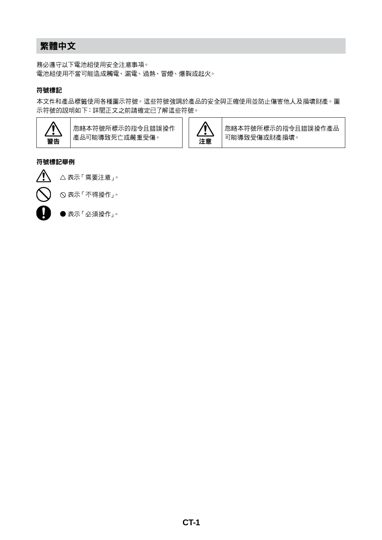# 繁體中文

務必遵守以下電池組使用安全注意事項。 電池組使用不當可能造成觸電、漏電、過熱、冒煙、爆裂或起火。

#### 符號標記

本文件和產品標籤使用各種圖示符號。這些符號強調於產品的安全與正確使用並防止傷害他人及損壞財產。圖 示符號的說明如下:詳閱正文之前請確定已了解這些符號。



忽略本符號所標示的指令且錯誤操作 產品可能導致死亡或嚴重受傷。 注意



忽略本符號所標示的指令且錯誤操作產品 可能導致受傷或財產損壞。

#### 符號標記舉例



表示「需要注意」。

表示「不得操作」。



● 表示「必須操作」。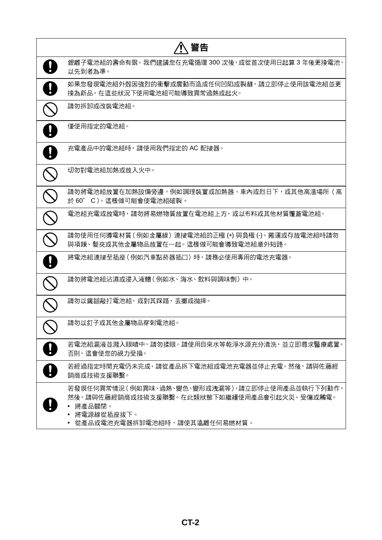| 警告                                                                                                                                                    |
|-------------------------------------------------------------------------------------------------------------------------------------------------------|
| 鋰離子電池組的壽命有限。我們建議您在充電循環 300 次後,或從首次使用日起算 3 年後更換電池,<br>以先到者為準。                                                                                          |
| 如果您發現電池組外殼因強烈的衝擊或震動而造成任何凹陷或裂縫,請立即停止使用該電池組並更<br>换為新品。在這些狀況下使用電池組可能導致異常過熱或起火。                                                                           |
| 請勿拆卸或改裝電池組。                                                                                                                                           |
| 僅使用指定的電池組。                                                                                                                                            |
| 充電產品中的電池組時,請使用我們指定的 AC 配接器。                                                                                                                           |
| 切勿對電池組加熱或放入火中。                                                                                                                                        |
| 請勿將電池組放置在加熱設備旁邊,例如調理裝置或加熱器、車內或烈日下,或其他高溫場所(高<br>於 60° C )。這樣做可能會使電池組破裂。                                                                                |
| 電池組充電或放電時,請勿將易燃物質放置在電池組上方,或以布料或其他材質覆蓋電池組。                                                                                                             |
| 請勿使用任何導電材質(例如金屬線)連接電池組的正極 (+) 與負極 (-)。搬運或存放電池組時請勿<br>與項鍊、髮夾或其他金屬物品放置在一起。這樣做可能會導致電池組意外短路。                                                              |
| 將電池組連接至插座(例如汽車點菸器插口)時,請務必使用專用的電池充電器。                                                                                                                  |
| 請勿將電池組沾濕或浸入液體(例如水、海水、飲料與調味劑)中。                                                                                                                        |
| 請勿以鐵鎚敲打電池組,或對其踩踏、丟擲或拋摔。                                                                                                                               |
| 請勿以釘子或其他金屬物品穿刺電池組。                                                                                                                                    |
| 若電池組漏液並濺入眼睛中,請勿揉眼。請使用自來水等乾淨水源充分清洗,並立即尋求醫療處置。<br>否則,這會使您的視力受損。                                                                                         |
| 若經過指定時間充電仍未完成,請從產品拆下電池組或電池充電器並停止充電。然後,請與佐藤經<br>銷商或技術支援聯繫。                                                                                             |
| 若發現任何異常情況(例如異味、過熱、變色、變形或洩漏等),請立即停止使用產品並執行下列動作。<br>然後,請與佐藤經銷商或技術支援聯繫。在此類狀態下如繼續使用產品會引起火災、受傷或觸電。<br>將產品關閉。<br>將電源線從插座拔下。<br>從產品或電池充電器拆卸電池組時,請使其遠離任何易燃材質。 |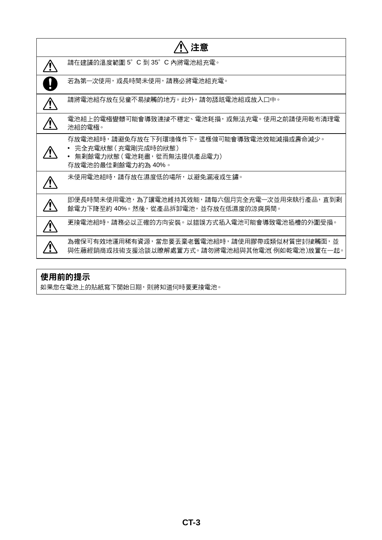| 注意                                                                                                               |
|------------------------------------------------------------------------------------------------------------------|
| 請在建議的溫度範圍 5°C 到 35°C 內將電池組充電。                                                                                    |
| 若為第一次使用,或長時間未使用,請務必將電池組充電。                                                                                       |
| 請將電池組存放在兒童不易接觸的地方。此外,請勿舔舐電池組或放入口中。                                                                               |
| 電池組上的電極變髒可能會導致連接不穩定、電池耗損,或無法充電。使用之前請使用乾布清理電<br>池組的雷極。                                                            |
| 存放電池組時,請避免存放在下列環境條件下。這樣做可能會導致電池效能減損或壽命減少。<br>完全充電狀態(充電剛完成時的狀態)<br>無剩餘電力狀態(電池耗盡,從而無法提供產品電力)<br>存放電池的最佳剩餘電力約為 40%。 |
| 未使用電池組時,請存放在濕度低的場所,以避免漏液或生鏽。                                                                                     |
| 即便長時間未使用電池,為了讓電池維持其效能,請每六個月完全充電一次並用來執行產品,直到剩<br>餘電力下降至約 40%。然後,從產品拆卸電池,並存放在低濕度的涼爽房間。                             |
| 更换電池組時,請務必以正確的方向安裝。以錯誤方式插入電池可能會導致電池插槽的外圍受損。                                                                      |
| 為確保可有效地運用稀有資源,當您要丟棄老舊電池組時,請使用膠帶或類似材質密封接觸面,並<br>與佐藤經銷商或技術支援洽談以瞭解處置方式。 請勿將電池組與其他電池 例如乾電池 )放置在一起。                   |

## 使用前的提示

如果您在電池上的貼紙寫下開始日期,則將知道何時要更換電池。